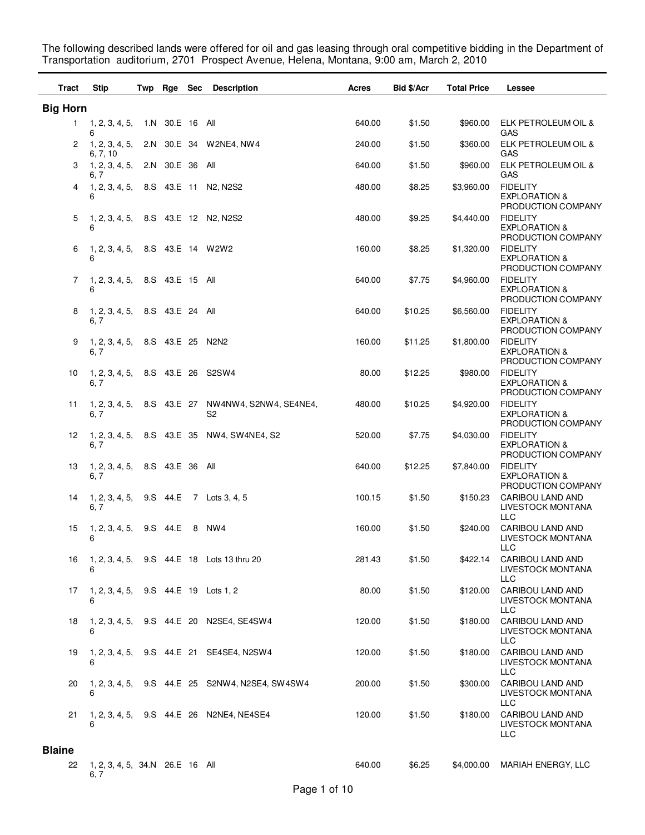The following described lands were offered for oil and gas leasing through oral competitive bidding in the Department of Transportation auditorium, 2701 Prospect Avenue, Helena, Montana, 9:00 am, March 2, 2010

| Tract           | <b>Stip</b>                               | Twp Rge Sec     | <b>Description</b>                                                  | Acres  | <b>Bid \$/Acr</b> | <b>Total Price</b> | Lessee                                                                   |
|-----------------|-------------------------------------------|-----------------|---------------------------------------------------------------------|--------|-------------------|--------------------|--------------------------------------------------------------------------|
| <b>Big Horn</b> |                                           |                 |                                                                     |        |                   |                    |                                                                          |
| $1 -$           | 1, 2, 3, 4, 5,<br>6                       | 1.N 30.E 16 All |                                                                     | 640.00 | \$1.50            | \$960.00           | ELK PETROLEUM OIL &<br>GAS                                               |
| 2               | 1, 2, 3, 4, 5,                            |                 | 2.N 30.E 34 W2NE4, NW4                                              | 240.00 | \$1.50            | \$360.00           | ELK PETROLEUM OIL &                                                      |
| З               | 6, 7, 10<br>1, 2, 3, 4, 5,                | 2.N 30.E 36 All |                                                                     | 640.00 | \$1.50            | \$960.00           | GAS<br>ELK PETROLEUM OIL &                                               |
| 4               | 6, 7<br>1, 2, 3, 4, 5,<br>6               |                 | 8.S 43.E 11 N2, N2S2                                                | 480.00 | \$8.25            | \$3,960.00         | GAS<br><b>FIDELITY</b><br><b>EXPLORATION &amp;</b><br>PRODUCTION COMPANY |
| 5               | 1, 2, 3, 4, 5,<br>6                       |                 | 8.S 43.E 12 N2, N2S2                                                | 480.00 | \$9.25            | \$4,440.00         | <b>FIDELITY</b><br><b>EXPLORATION &amp;</b><br>PRODUCTION COMPANY        |
| 6               | 1, 2, 3, 4, 5,<br>6                       |                 | 8.S 43.E 14 W2W2                                                    | 160.00 | \$8.25            | \$1,320.00         | <b>FIDELITY</b><br><b>EXPLORATION &amp;</b><br>PRODUCTION COMPANY        |
| 7               | 1, 2, 3, 4, 5,<br>6                       | 8.S 43.E 15 All |                                                                     | 640.00 | \$7.75            | \$4,960.00         | <b>FIDELITY</b><br><b>EXPLORATION &amp;</b><br>PRODUCTION COMPANY        |
| 8               | 1, 2, 3, 4, 5,<br>6, 7                    | 8.S 43.E 24 All |                                                                     | 640.00 | \$10.25           | \$6,560.00         | <b>FIDELITY</b><br><b>EXPLORATION &amp;</b><br>PRODUCTION COMPANY        |
| 9               | 1, 2, 3, 4, 5,<br>6, 7                    |                 | 8.S 43.E 25 N2N2                                                    | 160.00 | \$11.25           | \$1,800.00         | <b>FIDELITY</b><br><b>EXPLORATION &amp;</b><br>PRODUCTION COMPANY        |
| 10              | 1, 2, 3, 4, 5,<br>6, 7                    |                 | 8.S  43.E  26  S2SW4                                                | 80.00  | \$12.25           | \$980.00           | <b>FIDELITY</b><br><b>EXPLORATION &amp;</b><br>PRODUCTION COMPANY        |
| 11              | 6, 7                                      |                 | 1, 2, 3, 4, 5, 8.S 43.E 27 NW4NW4, S2NW4, SE4NE4,<br>S <sub>2</sub> | 480.00 | \$10.25           | \$4,920.00         | <b>FIDELITY</b><br><b>EXPLORATION &amp;</b><br>PRODUCTION COMPANY        |
| 12              | 1, 2, 3, 4, 5,<br>6, 7                    |                 | 8.S 43.E 35 NW4, SW4NE4, S2                                         | 520.00 | \$7.75            | \$4,030.00         | <b>FIDELITY</b><br><b>EXPLORATION &amp;</b><br>PRODUCTION COMPANY        |
| 13              | 1, 2, 3, 4, 5,<br>6, 7                    | 8.S 43.E 36 All |                                                                     | 640.00 | \$12.25           | \$7,840.00         | <b>FIDELITY</b><br><b>EXPLORATION &amp;</b><br>PRODUCTION COMPANY        |
| 14              | 1, 2, 3, 4, 5,<br>6, 7                    | 9.S 44.E        | 7 Lots 3, 4, 5                                                      | 100.15 | \$1.50            | \$150.23           | CARIBOU LAND AND<br>LIVESTOCK MONTANA<br><b>LLC</b>                      |
| 15              | 1, 2, 3, 4, 5,<br>6                       | 9.S 44.E        | 8 NW4                                                               | 160.00 | \$1.50            | \$240.00           | CARIBOU LAND AND<br><b>LIVESTOCK MONTANA</b><br>LLC                      |
| 16              | 6                                         |                 | 1, 2, 3, 4, 5, 9.S 44.E 18 Lots 13 thru 20                          | 281.43 | \$1.50            | \$422.14           | CARIBOU LAND AND<br>LIVESTOCK MONTANA<br><b>LLC</b>                      |
| 17              | 1, 2, 3, 4, 5, 9.S 44.E 19 Lots 1, 2<br>6 |                 |                                                                     | 80.00  | \$1.50            | \$120.00           | CARIBOU LAND AND<br>LIVESTOCK MONTANA<br><b>LLC</b>                      |
| 18              | 6                                         |                 | 1, 2, 3, 4, 5, 9.S 44.E 20 N2SE4, SE4SW4                            | 120.00 | \$1.50            | \$180.00           | CARIBOU LAND AND<br>LIVESTOCK MONTANA<br><b>LLC</b>                      |
| 19              | 6                                         |                 | 1, 2, 3, 4, 5, 9.S 44.E 21 SE4SE4, N2SW4                            | 120.00 | \$1.50            | \$180.00           | CARIBOU LAND AND<br>LIVESTOCK MONTANA<br><b>LLC</b>                      |
| 20              |                                           |                 | 1, 2, 3, 4, 5, 9.S 44.E 25 S2NW4, N2SE4, SW4SW4                     | 200.00 | \$1.50            | \$300.00           | CARIBOU LAND AND<br>LIVESTOCK MONTANA<br>LLC                             |
| 21              |                                           |                 | 1, 2, 3, 4, 5, 9.S 44.E 26 N2NE4, NE4SE4                            | 120.00 | \$1.50            | \$180.00           | <b>CARIBOU LAND AND</b><br>LIVESTOCK MONTANA<br>LLC                      |
| <b>Blaine</b>   |                                           |                 |                                                                     |        |                   |                    |                                                                          |
| 22              | 1, 2, 3, 4, 5, 34.N 26.E 16 All<br>6, 7   |                 |                                                                     | 640.00 | \$6.25            | \$4,000.00         | MARIAH ENERGY, LLC                                                       |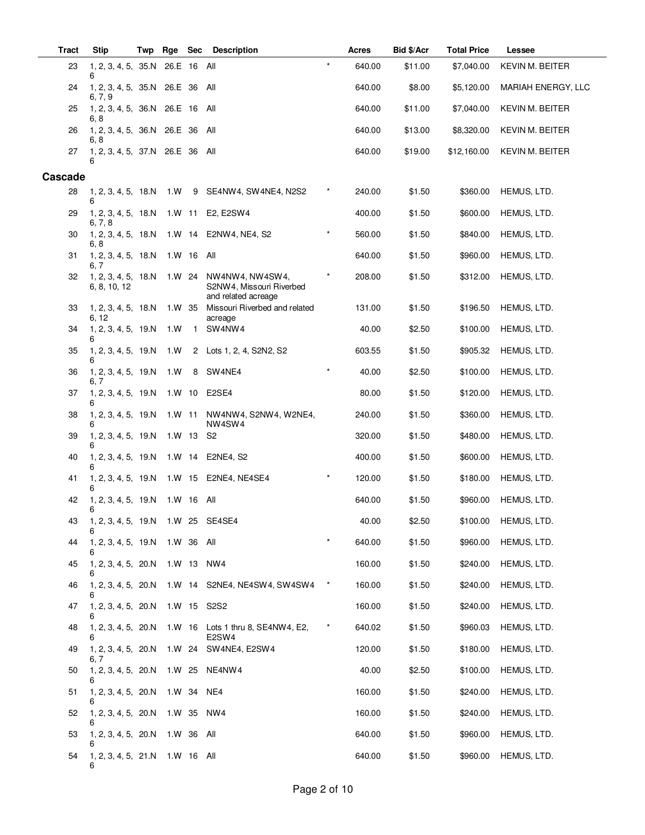| <b>Tract</b> | <b>Stip</b>                            | Twp | Rge        | <b>Sec</b>   | <b>Description</b>                                                 |               | Acres  | Bid \$/Acr | <b>Total Price</b> | Lessee                 |
|--------------|----------------------------------------|-----|------------|--------------|--------------------------------------------------------------------|---------------|--------|------------|--------------------|------------------------|
| 23           | 1, 2, 3, 4, 5, 35.N 26.E 16<br>6       |     |            |              | All                                                                | $\star$       | 640.00 | \$11.00    | \$7,040.00         | <b>KEVIN M. BEITER</b> |
| 24           | 1, 2, 3, 4, 5, 35.N 26.E 36<br>6, 7, 9 |     |            |              | All                                                                |               | 640.00 | \$8.00     | \$5,120.00         | MARIAH ENERGY, LLC     |
| 25           | 1, 2, 3, 4, 5, 36.N 26.E 16<br>6, 8    |     |            |              | All                                                                |               | 640.00 | \$11.00    | \$7,040.00         | <b>KEVIN M. BEITER</b> |
| 26           | 1, 2, 3, 4, 5, 36.N 26.E 36<br>6, 8    |     |            |              | All                                                                |               | 640.00 | \$13.00    | \$8,320.00         | <b>KEVIN M. BEITER</b> |
| 27           | 1, 2, 3, 4, 5, 37.N 26.E 36<br>6       |     |            |              | All                                                                |               | 640.00 | \$19.00    | \$12,160.00        | <b>KEVIN M. BEITER</b> |
| Cascade      |                                        |     |            |              |                                                                    |               |        |            |                    |                        |
| 28           | 1, 2, 3, 4, 5, 18.N<br>6               |     | 1.W        | - 9          | SE4NW4, SW4NE4, N2S2                                               | $^\star$      | 240.00 | \$1.50     | \$360.00           | HEMUS, LTD.            |
| 29           | 1, 2, 3, 4, 5, 18.N<br>6, 7, 8         |     | 1.W 11     |              | E2, E2SW4                                                          |               | 400.00 | \$1.50     | \$600.00           | HEMUS, LTD.            |
| 30           | 1, 2, 3, 4, 5, 18.N<br>6, 8            |     | 1.W 14     |              | E2NW4, NE4, S2                                                     |               | 560.00 | \$1.50     | \$840.00           | HEMUS, LTD.            |
| 31           | 1, 2, 3, 4, 5, 18.N<br>6, 7            |     | 1.W 16     |              | All                                                                |               | 640.00 | \$1.50     | \$960.00           | HEMUS, LTD.            |
| 32           | 1, 2, 3, 4, 5, 18.N<br>6, 8, 10, 12    |     | 1.W 24     |              | NW4NW4, NW4SW4,<br>S2NW4, Missouri Riverbed<br>and related acreage |               | 208.00 | \$1.50     | \$312.00           | HEMUS, LTD.            |
| 33           | 1, 2, 3, 4, 5, 18.N                    |     | 1.W 35     |              | Missouri Riverbed and related                                      |               | 131.00 | \$1.50     | \$196.50           | HEMUS, LTD.            |
| 34           | 6, 12<br>1, 2, 3, 4, 5, 19.N<br>6      |     | 1.W        | $\mathbf{1}$ | acreage<br>SW4NW4                                                  |               | 40.00  | \$2.50     | \$100.00           | HEMUS, LTD.            |
| 35           | 1, 2, 3, 4, 5, 19.N<br>6               |     | 1.W        | $\mathbf{2}$ | Lots 1, 2, 4, S2N2, S2                                             |               | 603.55 | \$1.50     | \$905.32           | HEMUS, LTD.            |
| 36           | 1, 2, 3, 4, 5, 19.N<br>6, 7            |     | 1.W        | 8            | SW4NE4                                                             |               | 40.00  | \$2.50     | \$100.00           | HEMUS, LTD.            |
| 37           | 1, 2, 3, 4, 5, 19.N<br>6               |     | 1.W 10     |              | E2SE4                                                              |               | 80.00  | \$1.50     | \$120.00           | HEMUS, LTD.            |
| 38           | 1, 2, 3, 4, 5, 19.N<br>6               |     | $1. W$ 11  |              | NW4NW4, S2NW4, W2NE4,<br>NW4SW4                                    |               | 240.00 | \$1.50     | \$360.00           | HEMUS, LTD.            |
| 39           | 1, 2, 3, 4, 5, 19.N<br>6               |     | $1. W$ 13  |              | S2                                                                 |               | 320.00 | \$1.50     | \$480.00           | HEMUS, LTD.            |
| 40           | 1, 2, 3, 4, 5, 19.N                    |     | $1. W$ 14  |              | E2NE4, S2                                                          |               | 400.00 | \$1.50     | \$600.00           | HEMUS, LTD.            |
| 41           | 1, 2, 3, 4, 5, 19.N<br>6               |     | 1.W 15     |              | E2NE4, NE4SE4                                                      | $\star$       | 120.00 | \$1.50     | \$180.00           | HEMUS, LTD.            |
| 42           | 1, 2, 3, 4, 5, 19.N<br>6               |     | 1.W 16     |              | All                                                                |               | 640.00 | \$1.50     | \$960.00           | HEMUS, LTD.            |
| 43           | 1, 2, 3, 4, 5, 19.N 1.W 25 SE4SE4<br>6 |     |            |              |                                                                    |               | 40.00  | \$2.50     | \$100.00           | HEMUS, LTD.            |
| 44           | 1, 2, 3, 4, 5, 19.N                    |     | 1.W 36 All |              |                                                                    |               | 640.00 | \$1.50     | \$960.00           | HEMUS, LTD.            |
| 45           | 1, 2, 3, 4, 5, 20.N 1.W 13             |     |            |              | NW4                                                                |               | 160.00 | \$1.50     | \$240.00           | HEMUS, LTD.            |
| 46           | 6                                      |     |            |              | 1, 2, 3, 4, 5, 20.N  1.W  14  S2NE4, NE4SW4, SW4SW4                | $\rightarrow$ | 160.00 | \$1.50     | \$240.00           | HEMUS, LTD.            |
| 47           | 1, 2, 3, 4, 5, 20.N 1.W 15 S2S2<br>6   |     |            |              |                                                                    |               | 160.00 | \$1.50     | \$240.00           | HEMUS, LTD.            |
| 48           | 1, 2, 3, 4, 5, 20.N 1.W 16             |     |            |              | Lots 1 thru 8, SE4NW4, E2,<br>E2SW4                                | $^\star$      | 640.02 | \$1.50     | \$960.03           | HEMUS, LTD.            |
| 49           | $1, 2, 3, 4, 5, 20.N$ 1.W 24<br>6, 7   |     |            |              | SW4NE4, E2SW4                                                      |               | 120.00 | \$1.50     | \$180.00           | HEMUS, LTD.            |
| 50           | 1, 2, 3, 4, 5, 20.N 1.W 25<br>6        |     |            |              | NE4NW4                                                             |               | 40.00  | \$2.50     | \$100.00           | HEMUS, LTD.            |
| 51           | 1, 2, 3, 4, 5, 20.N                    |     | 1.W 34     |              | NE4                                                                |               | 160.00 | \$1.50     | \$240.00           | HEMUS, LTD.            |
| 52           | 1, 2, 3, 4, 5, 20.N<br>6               |     | 1.W 35     |              | NW4                                                                |               | 160.00 | \$1.50     | \$240.00           | HEMUS, LTD.            |
| 53           | 1, 2, 3, 4, 5, 20.N<br>6               |     | 1.W 36 All |              |                                                                    |               | 640.00 | \$1.50     | \$960.00           | HEMUS, LTD.            |
| 54           | 1, 2, 3, 4, 5, 21.N 1.W 16 All<br>6    |     |            |              |                                                                    |               | 640.00 | \$1.50     | \$960.00           | HEMUS, LTD.            |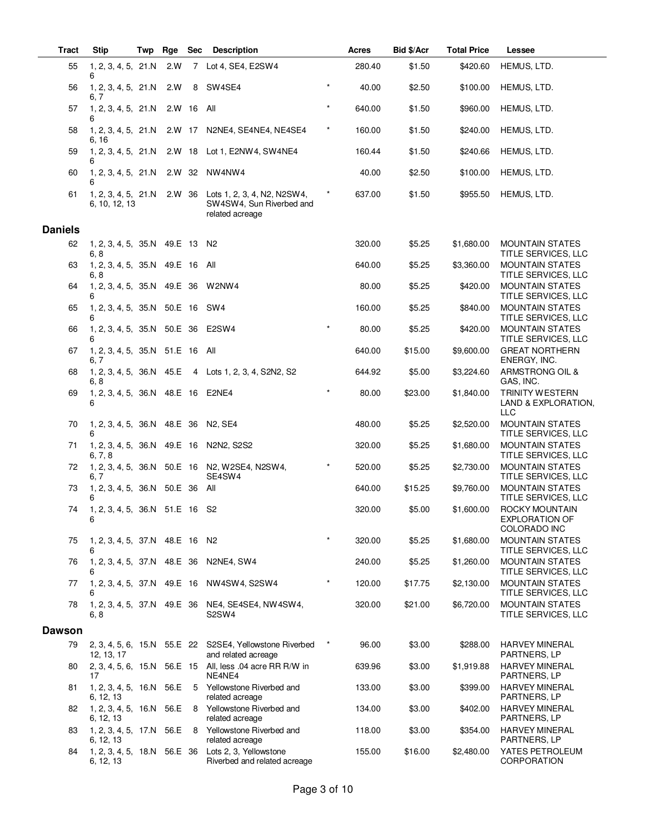| <b>Tract</b>   | <b>Stip</b>                                 | Twp | Rge        | <b>Sec</b> | <b>Description</b>                                                                 |          | Acres  | Bid \$/Acr | <b>Total Price</b> | Lessee                                                      |
|----------------|---------------------------------------------|-----|------------|------------|------------------------------------------------------------------------------------|----------|--------|------------|--------------------|-------------------------------------------------------------|
| 55             | 1, 2, 3, 4, 5, 21.N<br>6                    |     | 2.W        |            | 7 Lot 4, SE4, E2SW4                                                                |          | 280.40 | \$1.50     | \$420.60           | HEMUS, LTD.                                                 |
| 56             | 1, 2, 3, 4, 5, 21.N<br>6, 7                 |     | 2.W        | 8          | SW4SE4                                                                             | $\star$  | 40.00  | \$2.50     | \$100.00           | HEMUS, LTD.                                                 |
| 57             | 1, 2, 3, 4, 5, 21.N<br>6                    |     | 2.W 16 All |            |                                                                                    | $\star$  | 640.00 | \$1.50     | \$960.00           | HEMUS, LTD.                                                 |
| 58             | 1, 2, 3, 4, 5, 21.N<br>6, 16                |     |            |            | 2.W 17 N2NE4, SE4NE4, NE4SE4                                                       | $^\star$ | 160.00 | \$1.50     | \$240.00           | HEMUS, LTD.                                                 |
| 59             | 1, 2, 3, 4, 5, 21.N<br>6                    |     |            |            | 2.W 18 Lot 1, E2NW4, SW4NE4                                                        |          | 160.44 | \$1.50     | \$240.66           | HEMUS, LTD.                                                 |
| 60             | 1, 2, 3, 4, 5, 21.N<br>6                    |     | 2.W 32     |            | NW4NW4                                                                             |          | 40.00  | \$2.50     | \$100.00           | HEMUS, LTD.                                                 |
| 61             | 1, 2, 3, 4, 5, 21.N<br>6, 10, 12, 13        |     |            |            | 2.W 36 Lots 1, 2, 3, 4, N2, N2SW4,<br>SW4SW4, Sun Riverbed and<br>related acreage  | $^\star$ | 637.00 | \$1.50     | \$955.50           | HEMUS, LTD.                                                 |
| <b>Daniels</b> |                                             |     |            |            |                                                                                    |          |        |            |                    |                                                             |
| 62             | 1, 2, 3, 4, 5, 35.N 49.E 13 N2<br>6, 8      |     |            |            |                                                                                    |          | 320.00 | \$5.25     | \$1,680.00         | <b>MOUNTAIN STATES</b><br>TITLE SERVICES, LLC               |
| 63             | 1, 2, 3, 4, 5, 35.N 49.E 16 All<br>6, 8     |     |            |            |                                                                                    |          | 640.00 | \$5.25     | \$3,360.00         | <b>MOUNTAIN STATES</b><br>TITLE SERVICES, LLC               |
| 64             | 1, 2, 3, 4, 5, 35.N 49.E 36 W2NW4<br>6      |     |            |            |                                                                                    |          | 80.00  | \$5.25     | \$420.00           | <b>MOUNTAIN STATES</b><br>TITLE SERVICES, LLC               |
| 65             | 1, 2, 3, 4, 5, 35.N 50.E 16 SW4<br>6        |     |            |            |                                                                                    |          | 160.00 | \$5.25     | \$840.00           | <b>MOUNTAIN STATES</b><br>TITLE SERVICES, LLC               |
| 66             | 1, 2, 3, 4, 5, 35.N 50.E 36 E2SW4<br>6      |     |            |            |                                                                                    | $\star$  | 80.00  | \$5.25     | \$420.00           | <b>MOUNTAIN STATES</b><br>TITLE SERVICES, LLC               |
| 67             | 1, 2, 3, 4, 5, 35.N 51.E 16 All<br>6, 7     |     |            |            |                                                                                    |          | 640.00 | \$15.00    | \$9,600.00         | <b>GREAT NORTHERN</b><br>ENERGY, INC.                       |
| 68             | 6, 8                                        |     |            |            | 1, 2, 3, 4, 5, 36.N 45.E 4 Lots 1, 2, 3, 4, S2N2, S2                               |          | 644.92 | \$5.00     | \$3,224.60         | ARMSTRONG OIL &<br>GAS, INC.                                |
| 69             | 1, 2, 3, 4, 5, 36.N 48.E 16 E2NE4<br>6      |     |            |            |                                                                                    | $\star$  | 80.00  | \$23.00    | \$1,840.00         | <b>TRINITY WESTERN</b><br>LAND & EXPLORATION,<br><b>LLC</b> |
| 70             | 1, 2, 3, 4, 5, 36. N 48. E 36 N 2, SE4<br>6 |     |            |            |                                                                                    |          | 480.00 | \$5.25     | \$2,520.00         | <b>MOUNTAIN STATES</b><br>TITLE SERVICES, LLC               |
| 71             | 6, 7, 8                                     |     |            |            | 1, 2, 3, 4, 5, 36.N 49.E 16 N2N2, S2S2                                             |          | 320.00 | \$5.25     | \$1,680.00         | <b>MOUNTAIN STATES</b><br>TITLE SERVICES, LLC               |
| 72             | 6, 7                                        |     |            |            | 1, 2, 3, 4, 5, 36.N 50.E 16 N2, W2SE4, N2SW4,<br>SE4SW4                            | $\star$  | 520.00 | \$5.25     | \$2,730.00         | <b>MOUNTAIN STATES</b><br>TITLE SERVICES, LLC               |
| 73             | 1, 2, 3, 4, 5, 36.N 50.E 36 All<br>6        |     |            |            |                                                                                    |          | 640.00 | \$15.25    | \$9,760.00         | <b>MOUNTAIN STATES</b><br>TITLE SERVICES, LLC               |
| 74             | 1, 2, 3, 4, 5, 36.N 51.E 16 S2<br>6         |     |            |            |                                                                                    |          | 320.00 | \$5.00     | \$1,600.00         | ROCKY MOUNTAIN<br><b>EXPLORATION OF</b><br>COLORADO INC     |
| 75             | 1, 2, 3, 4, 5, 37.N 48.E 16 N2<br>6         |     |            |            |                                                                                    | $\star$  | 320.00 | \$5.25     | \$1,680.00         | <b>MOUNTAIN STATES</b><br>TITLE SERVICES, LLC               |
| 76             | 1, 2, 3, 4, 5, 37.N<br>6                    |     | 48.E 36    |            | N2NE4, SW4                                                                         |          | 240.00 | \$5.25     | \$1,260.00         | <b>MOUNTAIN STATES</b><br>TITLE SERVICES, LLC               |
| 77             | 6                                           |     |            |            | 1, 2, 3, 4, 5, 37.N 49.E 16 NW4SW4, S2SW4                                          |          | 120.00 | \$17.75    | \$2,130.00         | MOUNTAIN STATES<br>TITLE SERVICES, LLC                      |
| 78             | 6.8                                         |     |            |            | 1, 2, 3, 4, 5, 37.N 49.E 36 NE4, SE4SE4, NW4SW4,<br>S <sub>2</sub> SW <sub>4</sub> |          | 320.00 | \$21.00    | \$6,720.00         | <b>MOUNTAIN STATES</b><br>TITLE SERVICES, LLC               |
| <b>Dawson</b>  |                                             |     |            |            |                                                                                    |          |        |            |                    |                                                             |
| 79             | 12, 13, 17                                  |     |            |            | 2, 3, 4, 5, 6, 15.N 55.E 22 S2SE4, Yellowstone Riverbed<br>and related acreage     | $\ast$   | 96.00  | \$3.00     | \$288.00           | <b>HARVEY MINERAL</b><br>PARTNERS, LP                       |
| 80             | 17                                          |     |            |            | 2, 3, 4, 5, 6, 15.N 56.E 15 All, less .04 acre RR R/W in<br>NE4NE4                 |          | 639.96 | \$3.00     | \$1,919.88         | <b>HARVEY MINERAL</b><br>PARTNERS, LP                       |
| 81             | 1, 2, 3, 4, 5, 16.N 56.E<br>6, 12, 13       |     |            |            | 5 Yellowstone Riverbed and<br>related acreage                                      |          | 133.00 | \$3.00     | \$399.00           | <b>HARVEY MINERAL</b><br>PARTNERS, LP                       |
| 82             | 1, 2, 3, 4, 5, 16.N<br>6, 12, 13            |     | 56.E       | 8          | Yellowstone Riverbed and<br>related acreage                                        |          | 134.00 | \$3.00     | \$402.00           | <b>HARVEY MINERAL</b><br>PARTNERS, LP                       |
| 83             | 1, 2, 3, 4, 5, 17.N<br>6, 12, 13            |     | 56.E       | -8         | Yellowstone Riverbed and<br>related acreage                                        |          | 118.00 | \$3.00     | \$354.00           | <b>HARVEY MINERAL</b><br>PARTNERS, LP                       |
| 84             | 6, 12, 13                                   |     |            |            | 1, 2, 3, 4, 5, 18.N 56.E 36 Lots 2, 3, Yellowstone<br>Riverbed and related acreage |          | 155.00 | \$16.00    | \$2,480.00         | YATES PETROLEUM<br><b>CORPORATION</b>                       |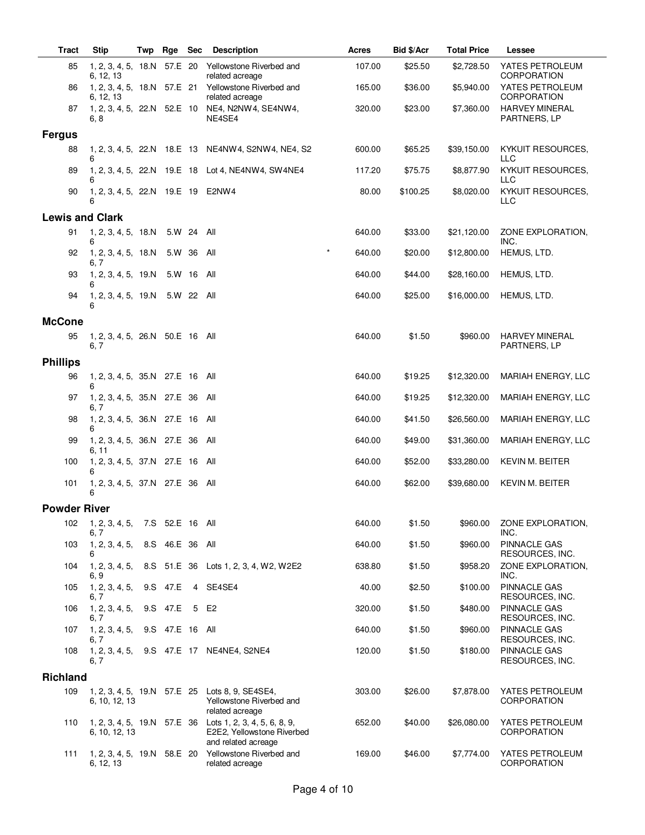| <b>Tract</b>           | <b>Stip</b>                               | Twp | Rge             | <b>Sec</b> | <b>Description</b>                                                                                              | Acres  | Bid \$/Acr | <b>Total Price</b> | Lessee                                                    |
|------------------------|-------------------------------------------|-----|-----------------|------------|-----------------------------------------------------------------------------------------------------------------|--------|------------|--------------------|-----------------------------------------------------------|
| 85                     | 1, 2, 3, 4, 5, 18.N 57.E 20<br>6, 12, 13  |     |                 |            | Yellowstone Riverbed and<br>related acreage                                                                     | 107.00 | \$25.50    | \$2,728.50         | YATES PETROLEUM<br>CORPORATION                            |
| 86                     | 6, 12, 13                                 |     |                 |            | 1, 2, 3, 4, 5, 18.N 57.E 21 Yellowstone Riverbed and<br>related acreage                                         | 165.00 | \$36.00    | \$5,940.00         | YATES PETROLEUM<br><b>CORPORATION</b>                     |
| 87                     | 6, 8                                      |     |                 |            | 1, 2, 3, 4, 5, 22.N 52.E 10 NE4, N2NW4, SE4NW4,<br>NE4SE4                                                       | 320.00 | \$23.00    | \$7,360.00         | <b>HARVEY MINERAL</b><br>PARTNERS, LP                     |
| <b>Fergus</b>          |                                           |     |                 |            |                                                                                                                 |        |            |                    |                                                           |
| 88                     | 6                                         |     |                 |            | 1, 2, 3, 4, 5, 22.N 18.E 13 NE4NW4, S2NW4, NE4, S2                                                              | 600.00 | \$65.25    | \$39,150.00        | <b>KYKUIT RESOURCES,</b><br>LLC                           |
| 89                     | 6                                         |     |                 |            | 1, 2, 3, 4, 5, 22.N 19.E 18 Lot 4, NE4NW4, SW4NE4                                                               | 117.20 | \$75.75    | \$8,877.90         | KYKUIT RESOURCES,<br><b>LLC</b>                           |
| 90                     | 1, 2, 3, 4, 5, 22.N 19.E 19 E2NW4<br>6    |     |                 |            |                                                                                                                 | 80.00  | \$100.25   | \$8,020.00         | KYKUIT RESOURCES,<br>LLC                                  |
| <b>Lewis and Clark</b> |                                           |     |                 |            |                                                                                                                 |        |            |                    |                                                           |
| 91                     | 1, 2, 3, 4, 5, 18.N 5.W 24 All<br>6       |     |                 |            |                                                                                                                 | 640.00 | \$33.00    | \$21,120.00        | ZONE EXPLORATION,<br>INC.                                 |
| 92                     | 1, 2, 3, 4, 5, 18.N<br>6, 7               |     | 5.W 36          |            | $\star$<br>All                                                                                                  | 640.00 | \$20.00    | \$12,800.00        | HEMUS, LTD.                                               |
| 93                     | 1, 2, 3, 4, 5, 19.N<br>6                  |     | 5.W 16          |            | All                                                                                                             | 640.00 | \$44.00    | \$28,160.00        | HEMUS, LTD.                                               |
| 94                     | 1, 2, 3, 4, 5, 19.N<br>6                  |     |                 | 5.W 22 All |                                                                                                                 | 640.00 | \$25.00    | \$16,000.00        | HEMUS, LTD.                                               |
| <b>McCone</b>          |                                           |     |                 |            |                                                                                                                 |        |            |                    |                                                           |
| 95                     | 1, 2, 3, 4, 5, 26.N 50.E 16 All<br>6, 7   |     |                 |            |                                                                                                                 | 640.00 | \$1.50     | \$960.00           | <b>HARVEY MINERAL</b><br>PARTNERS, LP                     |
| <b>Phillips</b>        |                                           |     |                 |            |                                                                                                                 |        |            |                    |                                                           |
| 96                     | 1, 2, 3, 4, 5, 35.N 27.E 16<br>6          |     |                 |            | All                                                                                                             | 640.00 | \$19.25    | \$12,320.00        | MARIAH ENERGY, LLC                                        |
| 97                     | 1, 2, 3, 4, 5, 35.N 27.E 36<br>6, 7       |     |                 |            | All                                                                                                             | 640.00 | \$19.25    | \$12,320.00        | MARIAH ENERGY, LLC                                        |
| 98                     | 1, 2, 3, 4, 5, 36.N 27.E 16 All<br>6      |     |                 |            |                                                                                                                 | 640.00 | \$41.50    | \$26,560.00        | MARIAH ENERGY, LLC                                        |
| 99                     | 1, 2, 3, 4, 5, 36.N 27.E 36               |     |                 |            | All                                                                                                             | 640.00 | \$49.00    | \$31,360.00        | MARIAH ENERGY, LLC                                        |
| 100                    | 6, 11<br>1, 2, 3, 4, 5, 37.N 27.E 16<br>6 |     |                 |            | All                                                                                                             | 640.00 | \$52.00    | \$33,280.00        | KEVIN M. BEITER                                           |
| 101                    | 1, 2, 3, 4, 5, 37.N 27.E 36 All<br>6      |     |                 |            |                                                                                                                 | 640.00 | \$62.00    | \$39,680.00        | <b>KEVIN M. BEITER</b>                                    |
| <b>Powder River</b>    |                                           |     |                 |            |                                                                                                                 |        |            |                    |                                                           |
| 102                    | 1, 2, 3, 4, 5,                            |     | 7.S 52.E 16 All |            |                                                                                                                 | 640.00 | \$1.50     | \$960.00           | ZONE EXPLORATION,                                         |
| 103                    | 6, 7<br>1, 2, 3, 4, 5,                    |     | 8.S 46.E 36 All |            |                                                                                                                 | 640.00 | \$1.50     | \$960.00           | INC.<br><b>PINNACLE GAS</b>                               |
| 104                    | 6<br>1, 2, 3, 4, 5,                       |     |                 |            | 8.S 51.E 36 Lots 1, 2, 3, 4, W2, W2E2                                                                           | 638.80 | \$1.50     | \$958.20           | RESOURCES, INC.<br>ZONE EXPLORATION.                      |
| 105                    | 6, 9<br>1, 2, 3, 4, 5,                    |     | 9.S 47.E        |            | 4 SE4SE4                                                                                                        | 40.00  | \$2.50     | \$100.00           | INC.<br><b>PINNACLE GAS</b>                               |
| 106                    | 6, 7<br>1, 2, 3, 4, 5,                    |     | 9.S 47.E        | 5 E2       |                                                                                                                 | 320.00 | \$1.50     | \$480.00           | RESOURCES, INC.<br><b>PINNACLE GAS</b>                    |
| 107                    | 6, 7<br>1, 2, 3, 4, 5,                    |     | 9.S 47.E 16 All |            |                                                                                                                 | 640.00 | \$1.50     | \$960.00           | RESOURCES, INC.<br><b>PINNACLE GAS</b>                    |
| 108                    | 6, 7<br>1, 2, 3, 4, 5,<br>6, 7            |     |                 |            | 9.S 47.E 17 NE4NE4, S2NE4                                                                                       | 120.00 | \$1.50     | \$180.00           | RESOURCES, INC.<br><b>PINNACLE GAS</b><br>RESOURCES, INC. |
| <b>Richland</b>        |                                           |     |                 |            |                                                                                                                 |        |            |                    |                                                           |
| 109                    |                                           |     |                 |            | 1, 2, 3, 4, 5, 19. N 57. E 25 Lots 8, 9, SE4SE4,                                                                | 303.00 | \$26.00    | \$7,878.00         | YATES PETROLEUM                                           |
|                        | 6, 10, 12, 13                             |     |                 |            | Yellowstone Riverbed and<br>related acreage                                                                     |        |            |                    | CORPORATION                                               |
| 110                    | 6, 10, 12, 13                             |     |                 |            | 1, 2, 3, 4, 5, 19. N 57. E 36 Lots 1, 2, 3, 4, 5, 6, 8, 9,<br>E2E2, Yellowstone Riverbed<br>and related acreage | 652.00 | \$40.00    | \$26,080.00        | YATES PETROLEUM<br><b>CORPORATION</b>                     |
| 111                    | 1, 2, 3, 4, 5, 19.N 58.E 20<br>6, 12, 13  |     |                 |            | Yellowstone Riverbed and<br>related acreage                                                                     | 169.00 | \$46.00    | \$7,774.00         | YATES PETROLEUM<br>CORPORATION                            |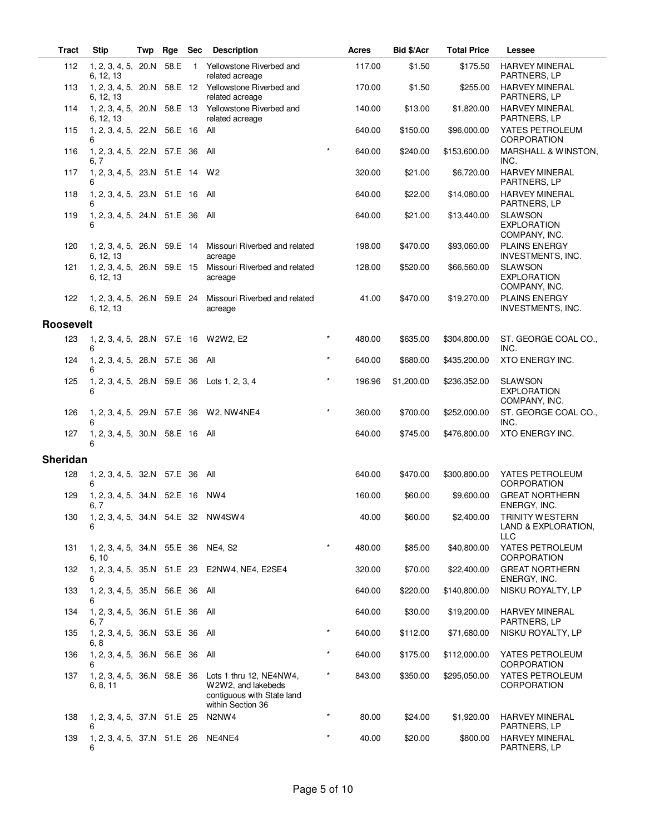| <b>Tract</b>     | <b>Stip</b>                                     | Twp | Rge Sec |                | <b>Description</b>                                                                               |         | Acres  | Bid \$/Acr | <b>Total Price</b> | Lessee                                                      |
|------------------|-------------------------------------------------|-----|---------|----------------|--------------------------------------------------------------------------------------------------|---------|--------|------------|--------------------|-------------------------------------------------------------|
| 112              | 1, 2, 3, 4, 5, 20.N<br>6, 12, 13                |     | 58.E    | $\overline{1}$ | Yellowstone Riverbed and<br>related acreage                                                      |         | 117.00 | \$1.50     | \$175.50           | <b>HARVEY MINERAL</b><br>PARTNERS, LP                       |
| 113              | 6, 12, 13                                       |     |         |                | 1, 2, 3, 4, 5, 20.N 58.E 12 Yellowstone Riverbed and<br>related acreage                          |         | 170.00 | \$1.50     | \$255.00           | <b>HARVEY MINERAL</b><br>PARTNERS, LP                       |
| 114              | 6, 12, 13                                       |     |         |                | 1, 2, 3, 4, 5, 20.N 58.E 13 Yellowstone Riverbed and<br>related acreage                          |         | 140.00 | \$13.00    | \$1,820.00         | <b>HARVEY MINERAL</b><br>PARTNERS, LP                       |
| 115              | 1, 2, 3, 4, 5, 22.N 56.E 16 All<br>6            |     |         |                |                                                                                                  |         | 640.00 | \$150.00   | \$96,000.00        | YATES PETROLEUM<br>CORPORATION                              |
| 116              | 1, 2, 3, 4, 5, 22.N 57.E 36 All<br>6, 7         |     |         |                |                                                                                                  | $\star$ | 640.00 | \$240.00   | \$153,600.00       | MARSHALL & WINSTON,<br>INC.                                 |
| 117              | 1, 2, 3, 4, 5, 23.N 51.E 14 W2<br>6             |     |         |                |                                                                                                  |         | 320.00 | \$21.00    | \$6,720.00         | <b>HARVEY MINERAL</b><br>PARTNERS, LP                       |
| 118              | 1, 2, 3, 4, 5, 23.N 51.E 16 All                 |     |         |                |                                                                                                  |         | 640.00 | \$22.00    | \$14,080.00        | <b>HARVEY MINERAL</b><br>PARTNERS, LP                       |
| 119              | 1, 2, 3, 4, 5, 24.N 51.E 36 All<br>6            |     |         |                |                                                                                                  |         | 640.00 | \$21.00    | \$13,440.00        | <b>SLAWSON</b><br><b>EXPLORATION</b><br>COMPANY, INC.       |
| 120              | 6, 12, 13                                       |     |         |                | 1, 2, 3, 4, 5, 26.N 59.E 14 Missouri Riverbed and related<br>acreage                             |         | 198.00 | \$470.00   | \$93,060.00        | <b>PLAINS ENERGY</b><br><b>INVESTMENTS, INC.</b>            |
| 121              | 1, 2, 3, 4, 5, 26.N 59.E 15<br>6, 12, 13        |     |         |                | Missouri Riverbed and related<br>acreage                                                         |         | 128.00 | \$520.00   | \$66,560.00        | <b>SLAWSON</b><br><b>EXPLORATION</b><br>COMPANY, INC.       |
| 122              | 1, 2, 3, 4, 5, 26.N 59.E 24<br>6, 12, 13        |     |         |                | Missouri Riverbed and related<br>acreage                                                         |         | 41.00  | \$470.00   | \$19,270.00        | <b>PLAINS ENERGY</b><br><b>INVESTMENTS, INC.</b>            |
| <b>Roosevelt</b> |                                                 |     |         |                |                                                                                                  |         |        |            |                    |                                                             |
| 123              | 1, 2, 3, 4, 5, 28.N 57.E 16 W2W2, E2<br>6       |     |         |                |                                                                                                  |         | 480.00 | \$635.00   | \$304,800.00       | ST. GEORGE COAL CO.,<br>INC.                                |
| 124              | 1, 2, 3, 4, 5, 28.N 57.E 36 All<br>6            |     |         |                |                                                                                                  | $\star$ | 640.00 | \$680.00   | \$435,200.00       | XTO ENERGY INC.                                             |
| 125              | 6                                               |     |         |                | 1, 2, 3, 4, 5, 28.N 59.E 36 Lots 1, 2, 3, 4                                                      | $\star$ | 196.96 | \$1,200.00 | \$236,352.00       | <b>SLAWSON</b><br><b>EXPLORATION</b><br>COMPANY, INC.       |
| 126              | 6                                               |     |         |                | 1, 2, 3, 4, 5, 29.N 57.E 36 W2, NW4NE4                                                           | $\star$ | 360.00 | \$700.00   | \$252,000.00       | ST. GEORGE COAL CO.,<br>INC.                                |
| 127              | 1, 2, 3, 4, 5, 30.N 58.E 16 All                 |     |         |                |                                                                                                  |         | 640.00 | \$745.00   | \$476,800.00       | XTO ENERGY INC.                                             |
| <b>Sheridan</b>  |                                                 |     |         |                |                                                                                                  |         |        |            |                    |                                                             |
| 128              | 1, 2, 3, 4, 5, 32.N 57.E 36 All                 |     |         |                |                                                                                                  |         | 640.00 | \$470.00   | \$300,800.00       | YATES PETROLEUM                                             |
| 129              | 6<br>1, 2, 3, 4, 5, 34.N 52.E 16 NW4<br>6, 7    |     |         |                |                                                                                                  |         | 160.00 | \$60.00    | \$9,600.00         | <b>CORPORATION</b><br><b>GREAT NORTHERN</b><br>ENERGY, INC. |
|                  | 130  1, 2, 3, 4, 5, 34.N  54.E  32  NW4SW4<br>6 |     |         |                |                                                                                                  |         | 40.00  | \$60.00    | \$2,400.00         | TRINITY WESTERN<br>LAND & EXPLORATION,<br><b>LLC</b>        |
| 131              | 1, 2, 3, 4, 5, 34.N 55.E 36 NE4, S2<br>6, 10    |     |         |                |                                                                                                  |         | 480.00 | \$85.00    | \$40,800.00        | YATES PETROLEUM<br>CORPORATION                              |
| 132              |                                                 |     |         |                | 1, 2, 3, 4, 5, 35.N 51.E 23 E2NW4, NE4, E2SE4                                                    |         | 320.00 | \$70.00    | \$22,400.00        | <b>GREAT NORTHERN</b><br>ENERGY, INC.                       |
| 133              | 1, 2, 3, 4, 5, 35.N 56.E 36 All<br>6            |     |         |                |                                                                                                  |         | 640.00 | \$220.00   | \$140,800.00       | NISKU ROYALTY, LP                                           |
| 134              | 1, 2, 3, 4, 5, 36.N 51.E 36 All<br>6, 7         |     |         |                |                                                                                                  |         | 640.00 | \$30.00    | \$19,200.00        | <b>HARVEY MINERAL</b><br>PARTNERS, LP                       |
| 135              | 1, 2, 3, 4, 5, 36.N 53.E 36 All<br>6, 8         |     |         |                |                                                                                                  | $\star$ | 640.00 | \$112.00   | \$71,680.00        | NISKU ROYALTY, LP                                           |
| 136              | 1, 2, 3, 4, 5, 36.N 56.E 36 All<br>6            |     |         |                |                                                                                                  | $\star$ | 640.00 | \$175.00   | \$112,000.00       | YATES PETROLEUM<br>CORPORATION                              |
| 137              | 1, 2, 3, 4, 5, 36.N 58.E 36<br>6, 8, 11         |     |         |                | Lots 1 thru 12, NE4NW4,<br>W2W2, and lakebeds<br>contiguous with State land<br>within Section 36 | $\star$ | 843.00 | \$350.00   | \$295,050.00       | YATES PETROLEUM<br>CORPORATION                              |
| 138              | 1, 2, 3, 4, 5, 37.N 51.E 25<br>6                |     |         |                | N2NW4                                                                                            | $\star$ | 80.00  | \$24.00    | \$1,920.00         | <b>HARVEY MINERAL</b><br>PARTNERS, LP                       |
| 139              | 1, 2, 3, 4, 5, 37.N 51.E 26 NE4NE4<br>6         |     |         |                |                                                                                                  | $\star$ | 40.00  | \$20.00    | \$800.00           | <b>HARVEY MINERAL</b><br>PARTNERS, LP                       |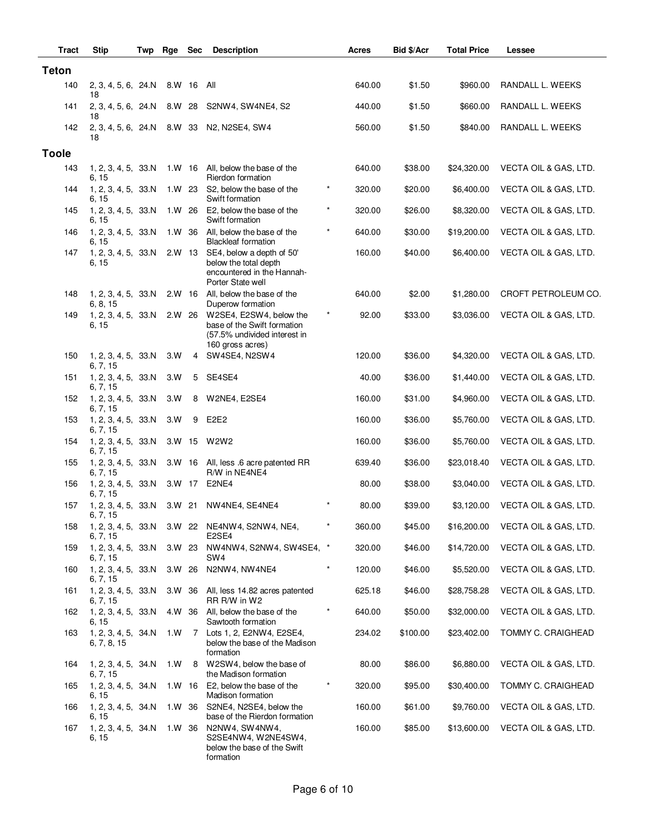| Tract        | <b>Stip</b>                        | Twp | Rge    | <b>Sec</b> | <b>Description</b>                                                                                         |           | <b>Acres</b> | Bid \$/Acr | <b>Total Price</b> | Lessee                |
|--------------|------------------------------------|-----|--------|------------|------------------------------------------------------------------------------------------------------------|-----------|--------------|------------|--------------------|-----------------------|
| <b>Teton</b> |                                    |     |        |            |                                                                                                            |           |              |            |                    |                       |
| 140          | 2, 3, 4, 5, 6, 24.N<br>18          |     | 8.W 16 |            | All                                                                                                        |           | 640.00       | \$1.50     | \$960.00           | RANDALL L. WEEKS      |
| 141          | 2, 3, 4, 5, 6, 24.N<br>18          |     | 8.W 28 |            | S2NW4, SW4NE4, S2                                                                                          |           | 440.00       | \$1.50     | \$660.00           | RANDALL L. WEEKS      |
| 142          | 2, 3, 4, 5, 6, 24.N 8.W 33<br>18   |     |        |            | N2, N2SE4, SW4                                                                                             |           | 560.00       | \$1.50     | \$840.00           | RANDALL L. WEEKS      |
| <b>Toole</b> |                                    |     |        |            |                                                                                                            |           |              |            |                    |                       |
| 143          | 1, 2, 3, 4, 5, 33.N<br>6, 15       |     |        |            | 1.W 16 All, below the base of the<br>Rierdon formation                                                     |           | 640.00       | \$38.00    | \$24,320.00        | VECTA OIL & GAS, LTD. |
| 144          | 1, 2, 3, 4, 5, 33.N<br>6, 15       |     |        | 1.W 23     | S2, below the base of the<br>Swift formation                                                               | $^{\ast}$ | 320.00       | \$20.00    | \$6,400.00         | VECTA OIL & GAS, LTD. |
| 145          | 1, 2, 3, 4, 5, 33.N<br>6, 15       |     | 1.W 26 |            | E2, below the base of the<br>Swift formation                                                               | $^{\ast}$ | 320.00       | \$26.00    | \$8,320.00         | VECTA OIL & GAS, LTD. |
| 146          | 1, 2, 3, 4, 5, 33.N<br>6, 15       |     |        |            | 1.W 36 All, below the base of the<br><b>Blackleaf formation</b>                                            | $\star$   | 640.00       | \$30.00    | \$19,200.00        | VECTA OIL & GAS, LTD. |
| 147          | 1, 2, 3, 4, 5, 33.N<br>6, 15       |     |        | $2.W$ 13   | SE4, below a depth of 50'<br>below the total depth<br>encountered in the Hannah-<br>Porter State well      |           | 160.00       | \$40.00    | \$6,400.00         | VECTA OIL & GAS, LTD. |
| 148          | 1, 2, 3, 4, 5, 33.N<br>6, 8, 15    |     |        |            | 2.W 16 All, below the base of the<br>Duperow formation                                                     |           | 640.00       | \$2.00     | \$1,280.00         | CROFT PETROLEUM CO.   |
| 149          | 1, 2, 3, 4, 5, 33.N<br>6, 15       |     | 2.W 26 |            | W2SE4, E2SW4, below the<br>base of the Swift formation<br>(57.5% undivided interest in<br>160 gross acres) | $\star$   | 92.00        | \$33.00    | \$3,036.00         | VECTA OIL & GAS, LTD. |
| 150          | 1, 2, 3, 4, 5, 33.N<br>6, 7, 15    |     | 3.W    | 4          | SW4SE4, N2SW4                                                                                              |           | 120.00       | \$36.00    | \$4,320.00         | VECTA OIL & GAS, LTD. |
| 151          | 1, 2, 3, 4, 5, 33.N<br>6, 7, 15    |     | 3.W    | 5          | SE4SE4                                                                                                     |           | 40.00        | \$36.00    | \$1,440.00         | VECTA OIL & GAS, LTD. |
| 152          | 1, 2, 3, 4, 5, 33.N<br>6, 7, 15    |     | 3.W    | 8          | W2NE4, E2SE4                                                                                               |           | 160.00       | \$31.00    | \$4,960.00         | VECTA OIL & GAS, LTD. |
| 153          | 1, 2, 3, 4, 5, 33.N<br>6, 7, 15    |     | 3.W    | 9          | E <sub>2</sub> E <sub>2</sub>                                                                              |           | 160.00       | \$36.00    | \$5,760.00         | VECTA OIL & GAS, LTD. |
| 154          | 1, 2, 3, 4, 5, 33.N<br>6, 7, 15    |     |        |            | 3.W 15 W2W2                                                                                                |           | 160.00       | \$36.00    | \$5,760.00         | VECTA OIL & GAS, LTD. |
| 155          | 1, 2, 3, 4, 5, 33.N<br>6, 7, 15    |     |        |            | 3.W 16 All, less .6 acre patented RR<br>R/W in NE4NE4                                                      |           | 639.40       | \$36.00    | \$23,018.40        | VECTA OIL & GAS, LTD. |
| 156          | 1, 2, 3, 4, 5, 33.N<br>6, 7, 15    |     |        | 3.W 17     | E2NE4                                                                                                      |           | 80.00        | \$38.00    | \$3,040.00         | VECTA OIL & GAS, LTD. |
| 157          | 1, 2, 3, 4, 5, 33.N<br>6, 7, 15    |     |        |            | 3.W 21 NW4NE4, SE4NE4                                                                                      |           | 80.00        | \$39.00    | \$3,120.00         | VECTA OIL & GAS, LTD. |
| 158          | 1, 2, 3, 4, 5, 33.N<br>6, 7, 15    |     |        |            | 3.W 22 NE4NW4, S2NW4, NE4,<br>E <sub>2</sub> SE <sub>4</sub>                                               | $\ast$    | 360.00       | \$45.00    | \$16,200.00        | VECTA OIL & GAS, LTD. |
| 159          | 1, 2, 3, 4, 5, 33.N<br>6, 7, 15    |     |        | 3.W 23     | NW4NW4, S2NW4, SW4SE4, *<br>SW4                                                                            |           | 320.00       | \$46.00    | \$14,720.00        | VECTA OIL & GAS, LTD. |
| 160          | 1, 2, 3, 4, 5, 33.N<br>6, 7, 15    |     | 3.W 26 |            | N2NW4, NW4NE4                                                                                              |           | 120.00       | \$46.00    | \$5,520.00         | VECTA OIL & GAS, LTD. |
| 161          | 1, 2, 3, 4, 5, 33.N<br>6, 7, 15    |     | 3.W 36 |            | All, less 14.82 acres patented<br>RR R/W in W2                                                             |           | 625.18       | \$46.00    | \$28,758.28        | VECTA OIL & GAS, LTD. |
| 162          | 1, 2, 3, 4, 5, 33.N<br>6, 15       |     |        |            | 4.W 36 All, below the base of the<br>Sawtooth formation                                                    | $\ast$    | 640.00       | \$50.00    | \$32,000.00        | VECTA OIL & GAS, LTD. |
| 163          | 1, 2, 3, 4, 5, 34.N<br>6, 7, 8, 15 |     | 1.W    |            | 7 Lots 1, 2, E2NW4, E2SE4,<br>below the base of the Madison<br>formation                                   |           | 234.02       | \$100.00   | \$23,402.00        | TOMMY C. CRAIGHEAD    |
| 164          | 1, 2, 3, 4, 5, 34.N<br>6, 7, 15    |     | 1.W    | 8          | W2SW4, below the base of<br>the Madison formation                                                          |           | 80.00        | \$86.00    | \$6,880.00         | VECTA OIL & GAS, LTD. |
| 165          | 1, 2, 3, 4, 5, 34.N<br>6, 15       |     | 1.W 16 |            | E2, below the base of the<br>Madison formation                                                             |           | 320.00       | \$95.00    | \$30,400.00        | TOMMY C. CRAIGHEAD    |
| 166          | 1, 2, 3, 4, 5, 34.N<br>6, 15       |     | 1.W 36 |            | S2NE4, N2SE4, below the<br>base of the Rierdon formation                                                   |           | 160.00       | \$61.00    | \$9,760.00         | VECTA OIL & GAS, LTD. |
| 167          | 1, 2, 3, 4, 5, 34.N<br>6, 15       |     | 1.W 36 |            | N2NW4, SW4NW4,<br>S2SE4NW4, W2NE4SW4,<br>below the base of the Swift<br>formation                          |           | 160.00       | \$85.00    | \$13,600.00        | VECTA OIL & GAS, LTD. |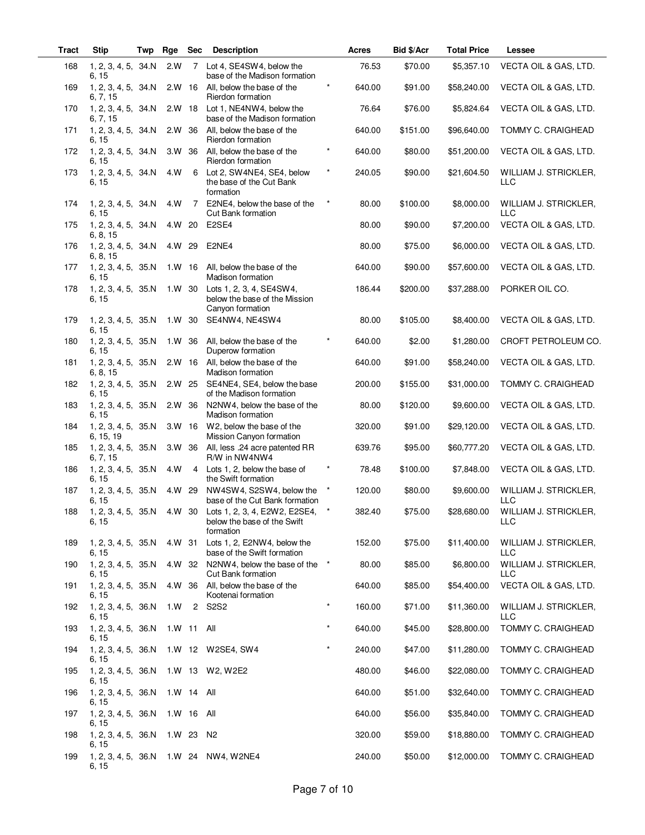| <b>Tract</b> | <b>Stip</b>                           | Twp | Rge        | <b>Sec</b>     | <b>Description</b>                                                            |          | Acres  | Bid \$/Acr | <b>Total Price</b> | Lessee                              |
|--------------|---------------------------------------|-----|------------|----------------|-------------------------------------------------------------------------------|----------|--------|------------|--------------------|-------------------------------------|
| 168          | 1, 2, 3, 4, 5, 34.N<br>6, 15          |     | 2.W        | $7^{\circ}$    | Lot 4, SE4SW4, below the<br>base of the Madison formation                     |          | 76.53  | \$70.00    | \$5,357.10         | VECTA OIL & GAS, LTD.               |
| 169          | 1, 2, 3, 4, 5, 34.N<br>6, 7, 15       |     | $2.W$ 16   |                | All, below the base of the<br>Rierdon formation                               | $\star$  | 640.00 | \$91.00    | \$58,240.00        | VECTA OIL & GAS, LTD.               |
| 170          | 1, 2, 3, 4, 5, 34.N<br>6, 7, 15       |     | $2.W$ 18   |                | Lot 1, NE4NW4, below the<br>base of the Madison formation                     |          | 76.64  | \$76.00    | \$5,824.64         | VECTA OIL & GAS, LTD.               |
| 171          | 1, 2, 3, 4, 5, 34.N<br>6, 15          |     | 2.W 36     |                | All, below the base of the<br>Rierdon formation                               |          | 640.00 | \$151.00   | \$96,640.00        | <b>TOMMY C. CRAIGHEAD</b>           |
| 172          | 1, 2, 3, 4, 5, 34.N<br>6, 15          |     | 3.W 36     |                | All, below the base of the<br>Rierdon formation                               | $\star$  | 640.00 | \$80.00    | \$51,200.00        | VECTA OIL & GAS, LTD.               |
| 173          | 1, 2, 3, 4, 5, 34.N<br>6, 15          |     | 4.W        | 6              | Lot 2, SW4NE4, SE4, below<br>the base of the Cut Bank<br>formation            | $\star$  | 240.05 | \$90.00    | \$21,604.50        | WILLIAM J. STRICKLER,<br>LLC        |
| 174          | 1, 2, 3, 4, 5, 34. N<br>6, 15         |     | 4.W        | $\overline{7}$ | E2NE4, below the base of the<br><b>Cut Bank formation</b>                     | $\ast$   | 80.00  | \$100.00   | \$8,000.00         | WILLIAM J. STRICKLER,<br><b>LLC</b> |
| 175          | 1, 2, 3, 4, 5, 34.N<br>6, 8, 15       |     | 4.W        | 20             | E2SE4                                                                         |          | 80.00  | \$90.00    | \$7,200.00         | VECTA OIL & GAS, LTD.               |
| 176          | 1, 2, 3, 4, 5, 34.N<br>6, 8, 15       |     | 4.W 29     |                | E2NE4                                                                         |          | 80.00  | \$75.00    | \$6,000.00         | VECTA OIL & GAS, LTD.               |
| 177          | 1, 2, 3, 4, 5, 35.N<br>6, 15          |     | 1.W 16     |                | All, below the base of the<br><b>Madison formation</b>                        |          | 640.00 | \$90.00    | \$57,600.00        | VECTA OIL & GAS, LTD.               |
| 178          | 1, 2, 3, 4, 5, 35.N<br>6, 15          |     | 1.W 30     |                | Lots 1, 2, 3, 4, SE4SW4,<br>below the base of the Mission<br>Canyon formation |          | 186.44 | \$200.00   | \$37,288.00        | PORKER OIL CO.                      |
| 179          | 1, 2, 3, 4, 5, 35.N<br>6, 15          |     | 1. W 30    |                | SE4NW4, NE4SW4                                                                |          | 80.00  | \$105.00   | \$8,400.00         | VECTA OIL & GAS, LTD.               |
| 180          | 1, 2, 3, 4, 5, 35.N<br>6, 15          |     | 1.W 36     |                | All, below the base of the<br>Duperow formation                               | $\star$  | 640.00 | \$2.00     | \$1,280.00         | CROFT PETROLEUM CO.                 |
| 181          | 1, 2, 3, 4, 5, 35.N<br>6, 8, 15       |     | $2.W$ 16   |                | All, below the base of the<br>Madison formation                               |          | 640.00 | \$91.00    | \$58,240.00        | VECTA OIL & GAS, LTD.               |
| 182          | 1, 2, 3, 4, 5, 35.N<br>6, 15          |     | $2.W$ 25   |                | SE4NE4, SE4, below the base<br>of the Madison formation                       |          | 200.00 | \$155.00   | \$31,000.00        | TOMMY C. CRAIGHEAD                  |
| 183          | 1, 2, 3, 4, 5, 35.N<br>6, 15          |     | 2.W 36     |                | N2NW4, below the base of the<br>Madison formation                             |          | 80.00  | \$120.00   | \$9,600.00         | VECTA OIL & GAS, LTD.               |
| 184          | 1, 2, 3, 4, 5, 35.N<br>6, 15, 19      |     | $3. W$ 16  |                | W <sub>2</sub> , below the base of the<br>Mission Canyon formation            |          | 320.00 | \$91.00    | \$29,120.00        | VECTA OIL & GAS, LTD.               |
| 185          | 1, 2, 3, 4, 5, 35.N<br>6, 7, 15       |     | 3.W 36     |                | All, less .24 acre patented RR<br>R/W in NW4NW4                               |          | 639.76 | \$95.00    | \$60,777.20        | VECTA OIL & GAS, LTD.               |
| 186          | 1, 2, 3, 4, 5, 35.N<br>6, 15          |     | 4.W        |                | 4 Lots 1, 2, below the base of<br>the Swift formation                         |          | 78.48  | \$100.00   | \$7,848.00         | VECTA OIL & GAS, LTD.               |
| 187          | 1, 2, 3, 4, 5, 35.N<br>6, 15          |     | 4.W 29     |                | NW4SW4, S2SW4, below the<br>base of the Cut Bank formation                    | $\star$  | 120.00 | \$80.00    | \$9,600.00         | WILLIAM J. STRICKLER,<br><b>LLC</b> |
| 188          | 1, 2, 3, 4, 5, 35.N<br>6, 15          |     | 4.W 30     |                | Lots 1, 2, 3, 4, E2W2, E2SE4,<br>below the base of the Swift<br>formation     |          | 382.40 | \$75.00    | \$28,680.00        | WILLIAM J. STRICKLER,<br>LLC        |
| 189          | 1, 2, 3, 4, 5, 35.N<br>6, 15          |     | 4.W 31     |                | Lots 1, 2, E2NW4, below the<br>base of the Swift formation                    |          | 152.00 | \$75.00    | \$11,400.00        | WILLIAM J. STRICKLER,<br><b>LLC</b> |
| 190          | 1, 2, 3, 4, 5, 35.N<br>6, 15          |     | 4.W 32     |                | N2NW4, below the base of the<br><b>Cut Bank formation</b>                     | $^\star$ | 80.00  | \$85.00    | \$6,800.00         | WILLIAM J. STRICKLER,<br><b>LLC</b> |
| 191          | 1, 2, 3, 4, 5, 35.N<br>6, 15          |     | 4.W        | 36             | All, below the base of the<br>Kootenai formation                              |          | 640.00 | \$85.00    | \$54,400.00        | VECTA OIL & GAS, LTD.               |
| 192          | 1, 2, 3, 4, 5, 36.N<br>6, 15          |     | 1.W        | 2              | <b>S2S2</b>                                                                   | $\star$  | 160.00 | \$71.00    | \$11,360.00        | WILLIAM J. STRICKLER,<br>LLC        |
| 193          | 1, 2, 3, 4, 5, 36.N<br>6, 15          |     | 1.W 11 All |                |                                                                               | $\star$  | 640.00 | \$45.00    | \$28,800.00        | TOMMY C. CRAIGHEAD                  |
| 194          | 1, 2, 3, 4, 5, 36.N<br>6, 15          |     |            |                | 1.W 12 W2SE4, SW4                                                             | $\star$  | 240.00 | \$47.00    | \$11,280.00        | TOMMY C. CRAIGHEAD                  |
| 195          | 1, 2, 3, 4, 5, 36.N<br>6, 15          |     | $1. W$ 13  |                | W2, W2E2                                                                      |          | 480.00 | \$46.00    | \$22,080.00        | TOMMY C. CRAIGHEAD                  |
| 196          | 1, 2, 3, 4, 5, 36.N<br>6, 15          |     | $1. W$ 14  |                | All                                                                           |          | 640.00 | \$51.00    | \$32,640.00        | TOMMY C. CRAIGHEAD                  |
| 197          | 1, 2, 3, 4, 5, 36.N                   |     | $1. W$ 16  |                | All                                                                           |          | 640.00 | \$56.00    | \$35,840.00        | TOMMY C. CRAIGHEAD                  |
| 198          | 6, 15<br>1, 2, 3, 4, 5, 36.N          |     | $1. W$ 23  |                | N <sub>2</sub>                                                                |          | 320.00 | \$59.00    | \$18,880.00        | TOMMY C. CRAIGHEAD                  |
| 199          | 6, 15<br>1, 2, 3, 4, 5, 36.N<br>6, 15 |     | 1.W 24     |                | NW4, W2NE4                                                                    |          | 240.00 | \$50.00    | \$12,000.00        | TOMMY C. CRAIGHEAD                  |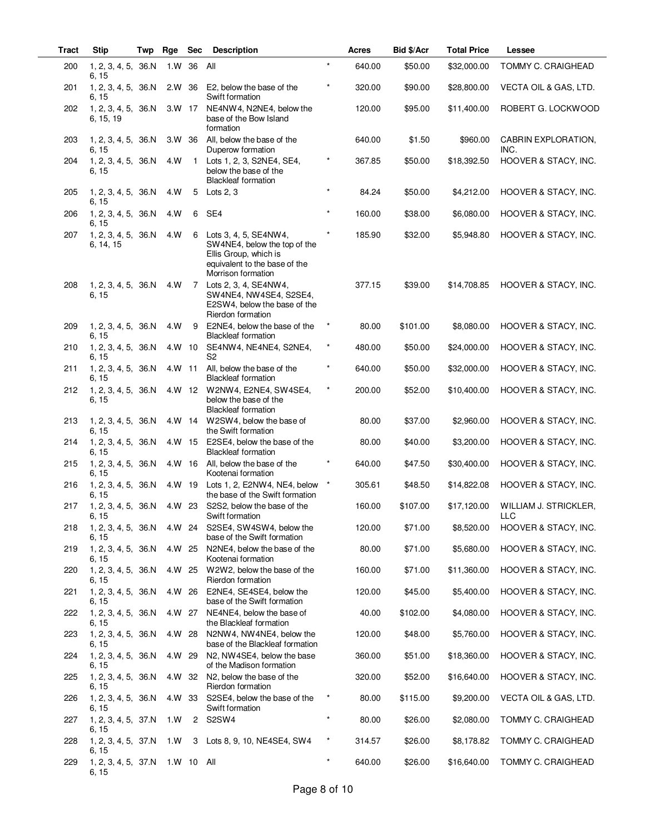| <b>Tract</b> | <b>Stip</b>                      | Twp | Rge        | <b>Sec</b>   | <b>Description</b>                                                                                                                    |          | Acres  | Bid \$/Acr | <b>Total Price</b> | Lessee                              |
|--------------|----------------------------------|-----|------------|--------------|---------------------------------------------------------------------------------------------------------------------------------------|----------|--------|------------|--------------------|-------------------------------------|
| 200          | 1, 2, 3, 4, 5, 36.N<br>6, 15     |     | 1.W        | 36           | All                                                                                                                                   | $\star$  | 640.00 | \$50.00    | \$32,000.00        | TOMMY C. CRAIGHEAD                  |
| 201          | 1, 2, 3, 4, 5, 36.N<br>6, 15     |     | 2.W 36     |              | E2, below the base of the<br>Swift formation                                                                                          | $\star$  | 320.00 | \$90.00    | \$28,800.00        | VECTA OIL & GAS, LTD.               |
| 202          | 1, 2, 3, 4, 5, 36.N<br>6, 15, 19 |     | 3.W 17     |              | NE4NW4, N2NE4, below the<br>base of the Bow Island<br>formation                                                                       |          | 120.00 | \$95.00    | \$11,400.00        | ROBERT G. LOCKWOOD                  |
| 203          | 1, 2, 3, 4, 5, 36.N<br>6, 15     |     | 3.W 36     |              | All, below the base of the<br>Duperow formation                                                                                       |          | 640.00 | \$1.50     | \$960.00           | CABRIN EXPLORATION,<br>INC.         |
| 204          | 1, 2, 3, 4, 5, 36.N<br>6, 15     |     | 4.W        | $\mathbf{1}$ | Lots 1, 2, 3, S2NE4, SE4,<br>below the base of the<br><b>Blackleaf formation</b>                                                      | $\star$  | 367.85 | \$50.00    | \$18,392.50        | HOOVER & STACY, INC.                |
| 205          | 1, 2, 3, 4, 5, 36.N<br>6, 15     |     | 4.W        | 5            | Lots $2, 3$                                                                                                                           | *        | 84.24  | \$50.00    | \$4,212.00         | HOOVER & STACY, INC.                |
| 206          | 1, 2, 3, 4, 5, 36.N<br>6, 15     |     | 4.W        | 6            | SE4                                                                                                                                   | $\star$  | 160.00 | \$38.00    | \$6,080.00         | HOOVER & STACY, INC.                |
| 207          | 1, 2, 3, 4, 5, 36.N<br>6, 14, 15 |     | 4.W        | 6            | Lots 3, 4, 5, SE4NW4,<br>SW4NE4, below the top of the<br>Ellis Group, which is<br>equivalent to the base of the<br>Morrison formation |          | 185.90 | \$32.00    | \$5,948.80         | HOOVER & STACY, INC.                |
| 208          | 1, 2, 3, 4, 5, 36.N<br>6, 15     |     | 4.W        |              | 7 Lots 2, 3, 4, SE4NW4,<br>SW4NE4, NW4SE4, S2SE4,<br>E2SW4, below the base of the<br>Rierdon formation                                |          | 377.15 | \$39.00    | \$14,708.85        | HOOVER & STACY, INC.                |
| 209          | 1, 2, 3, 4, 5, 36.N<br>6, 15     |     | 4.W        | 9            | E2NE4, below the base of the<br><b>Blackleaf formation</b>                                                                            | $\star$  | 80.00  | \$101.00   | \$8,080.00         | HOOVER & STACY, INC.                |
| 210          | 1, 2, 3, 4, 5, 36.N<br>6, 15     |     | 4.W 10     |              | SE4NW4, NE4NE4, S2NE4,<br>S <sub>2</sub>                                                                                              | $\star$  | 480.00 | \$50.00    | \$24,000.00        | HOOVER & STACY, INC.                |
| 211          | 1, 2, 3, 4, 5, 36.N<br>6, 15     |     | 4.W 11     |              | All, below the base of the<br><b>Blackleaf formation</b>                                                                              | $\ast$   | 640.00 | \$50.00    | \$32,000.00        | HOOVER & STACY, INC.                |
| 212          | 1, 2, 3, 4, 5, 36.N<br>6, 15     |     |            | 4.W 12       | W2NW4, E2NE4, SW4SE4,<br>below the base of the<br><b>Blackleaf formation</b>                                                          | $\star$  | 200.00 | \$52.00    | \$10,400.00        | HOOVER & STACY, INC.                |
| 213          | 1, 2, 3, 4, 5, 36.N<br>6, 15     |     |            | 4.W 14       | W2SW4, below the base of<br>the Swift formation                                                                                       |          | 80.00  | \$37.00    | \$2,960.00         | HOOVER & STACY, INC.                |
| 214          | 1, 2, 3, 4, 5, 36.N<br>6, 15     |     | 4.W 15     |              | E2SE4, below the base of the<br><b>Blackleaf formation</b>                                                                            |          | 80.00  | \$40.00    | \$3,200.00         | HOOVER & STACY, INC.                |
| 215          | 1, 2, 3, 4, 5, 36.N<br>6, 15     |     | 4.W 16     |              | All, below the base of the<br>Kootenai formation                                                                                      |          | 640.00 | \$47.50    | \$30,400.00        | HOOVER & STACY, INC.                |
| 216          | 1, 2, 3, 4, 5, 36.N<br>6, 15     |     | 4.W 19     |              | Lots 1, 2, E2NW4, NE4, below<br>the base of the Swift formation                                                                       | $^\star$ | 305.61 | \$48.50    | \$14,822.08        | HOOVER & STACY, INC.                |
| 217          | 1, 2, 3, 4, 5, 36.N<br>6, 15     |     | 4.W 23     |              | S2S2, below the base of the<br>Swift formation                                                                                        |          | 160.00 | \$107.00   | \$17,120.00        | WILLIAM J. STRICKLER,<br><b>LLC</b> |
| 218          | 1, 2, 3, 4, 5, 36.N<br>6, 15     |     | 4.W 24     |              | S2SE4, SW4SW4, below the<br>base of the Swift formation                                                                               |          | 120.00 | \$71.00    | \$8,520.00         | HOOVER & STACY, INC.                |
| 219          | 1, 2, 3, 4, 5, 36.N<br>6, 15     |     | 4.W 25     |              | N2NE4, below the base of the<br>Kootenai formation                                                                                    |          | 80.00  | \$71.00    | \$5,680.00         | HOOVER & STACY, INC.                |
| 220          | 1, 2, 3, 4, 5, 36.N<br>6, 15     |     | 4.W 25     |              | W2W2, below the base of the<br>Rierdon formation                                                                                      |          | 160.00 | \$71.00    | \$11,360.00        | HOOVER & STACY, INC.                |
| 221          | 1, 2, 3, 4, 5, 36.N<br>6, 15     |     | 4.W 26     |              | E2NE4, SE4SE4, below the<br>base of the Swift formation                                                                               |          | 120.00 | \$45.00    | \$5,400.00         | HOOVER & STACY, INC.                |
| 222          | 1, 2, 3, 4, 5, 36.N<br>6, 15     |     | 4.W 27     |              | NE4NE4, below the base of<br>the Blackleaf formation                                                                                  |          | 40.00  | \$102.00   | \$4,080.00         | HOOVER & STACY, INC.                |
| 223          | 1, 2, 3, 4, 5, 36.N<br>6, 15     |     | 4.W 28     |              | N2NW4, NW4NE4, below the<br>base of the Blackleaf formation                                                                           |          | 120.00 | \$48.00    | \$5,760.00         | HOOVER & STACY, INC.                |
| 224          | 1, 2, 3, 4, 5, 36.N<br>6, 15     |     | 4.W 29     |              | N2, NW4SE4, below the base<br>of the Madison formation                                                                                |          | 360.00 | \$51.00    | \$18,360.00        | HOOVER & STACY, INC.                |
| 225          | 1, 2, 3, 4, 5, 36.N<br>6, 15     |     | 4.W 32     |              | N <sub>2</sub> , below the base of the<br>Rierdon formation                                                                           |          | 320.00 | \$52.00    | \$16,640.00        | HOOVER & STACY, INC.                |
| 226          | 1, 2, 3, 4, 5, 36.N<br>6, 15     |     | 4.W 33     |              | S2SE4, below the base of the<br>Swift formation                                                                                       | $\star$  | 80.00  | \$115.00   | \$9,200.00         | VECTA OIL & GAS, LTD.               |
| 227          | 1, 2, 3, 4, 5, 37.N<br>6, 15     |     | 1. W       | 2            | S2SW4                                                                                                                                 | $\star$  | 80.00  | \$26.00    | \$2,080.00         | TOMMY C. CRAIGHEAD                  |
| 228          | 1, 2, 3, 4, 5, 37.N<br>6, 15     |     | 1.W        |              | 3 Lots 8, 9, 10, NE4SE4, SW4                                                                                                          | $\star$  | 314.57 | \$26.00    | \$8,178.82         | TOMMY C. CRAIGHEAD                  |
| 229          | 1, 2, 3, 4, 5, 37.N<br>6, 15     |     | 1.W 10 All |              |                                                                                                                                       | $\star$  | 640.00 | \$26.00    | \$16,640.00        | TOMMY C. CRAIGHEAD                  |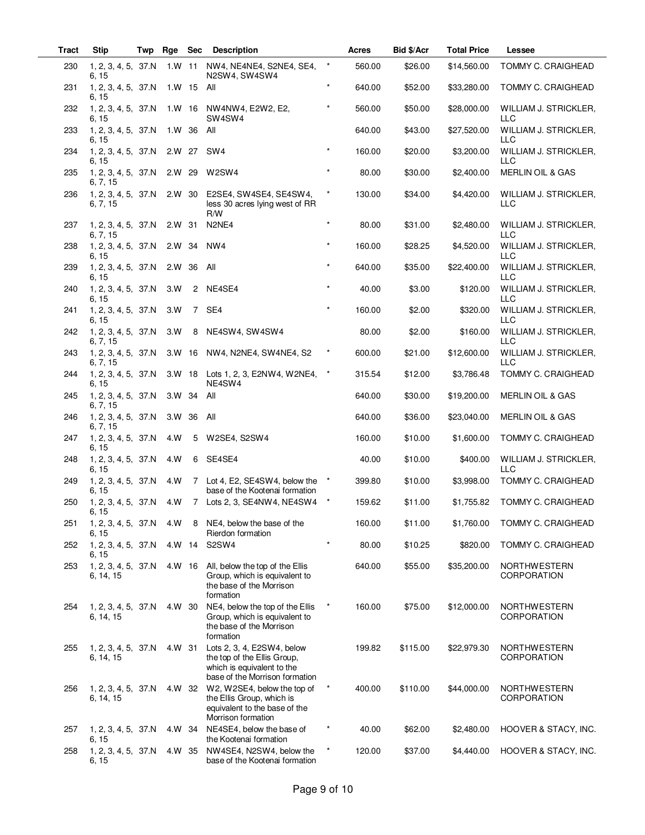| Tract | <b>Stip</b>                      | Twp | Rge       | <b>Sec</b>     | <b>Description</b>                                                                                                        |          | Acres  | Bid \$/Acr | <b>Total Price</b> | Lessee                              |
|-------|----------------------------------|-----|-----------|----------------|---------------------------------------------------------------------------------------------------------------------------|----------|--------|------------|--------------------|-------------------------------------|
| 230   | 1, 2, 3, 4, 5, 37.N<br>6, 15     |     | 1.W 11    |                | NW4, NE4NE4, S2NE4, SE4,<br>N2SW4, SW4SW4                                                                                 | $^\star$ | 560.00 | \$26.00    | \$14,560.00        | TOMMY C. CRAIGHEAD                  |
| 231   | 1, 2, 3, 4, 5, 37.N<br>6, 15     |     | $1. W$ 15 |                | All                                                                                                                       | $\star$  | 640.00 | \$52.00    | \$33,280.00        | TOMMY C. CRAIGHEAD                  |
| 232   | 1, 2, 3, 4, 5, 37.N<br>6, 15     |     |           |                | 1.W 16 NW4NW4, E2W2, E2,<br>SW <sub>4</sub> SW <sub>4</sub>                                                               |          | 560.00 | \$50.00    | \$28,000.00        | WILLIAM J. STRICKLER,<br><b>LLC</b> |
| 233   | 1, 2, 3, 4, 5, 37.N<br>6, 15     |     | 1.W 36    |                | All                                                                                                                       |          | 640.00 | \$43.00    | \$27,520.00        | WILLIAM J. STRICKLER,<br>LLC        |
| 234   | 1, 2, 3, 4, 5, 37.N<br>6, 15     |     | 2.W 27    |                | SW4                                                                                                                       | $\star$  | 160.00 | \$20.00    | \$3,200.00         | WILLIAM J. STRICKLER,<br><b>LLC</b> |
| 235   | 1, 2, 3, 4, 5, 37.N<br>6, 7, 15  |     | 2.W 29    |                | W2SW4                                                                                                                     | $\star$  | 80.00  | \$30.00    | \$2,400.00         | MERLIN OIL & GAS                    |
| 236   | 1, 2, 3, 4, 5, 37.N<br>6, 7, 15  |     | 2.W 30    |                | E2SE4, SW4SE4, SE4SW4,<br>less 30 acres lying west of RR<br>R/W                                                           | $\star$  | 130.00 | \$34.00    | \$4,420.00         | WILLIAM J. STRICKLER,<br>LLC        |
| 237   | 1, 2, 3, 4, 5, 37.N<br>6, 7, 15  |     | 2.W 31    |                | N2NE4                                                                                                                     | $\star$  | 80.00  | \$31.00    | \$2,480.00         | WILLIAM J. STRICKLER,<br>LLC        |
| 238   | 1, 2, 3, 4, 5, 37.N<br>6, 15     |     | 2.W 34    |                | NW <sub>4</sub>                                                                                                           | $\star$  | 160.00 | \$28.25    | \$4,520.00         | WILLIAM J. STRICKLER,<br><b>LLC</b> |
| 239   | 1, 2, 3, 4, 5, 37.N<br>6, 15     |     | 2.W 36    |                | All                                                                                                                       | $\star$  | 640.00 | \$35.00    | \$22,400.00        | WILLIAM J. STRICKLER,<br><b>LLC</b> |
| 240   | 1, 2, 3, 4, 5, 37.N<br>6, 15     |     | 3.W       | 2              | NE4SE4                                                                                                                    | $\star$  | 40.00  | \$3.00     | \$120.00           | WILLIAM J. STRICKLER,<br>LLC        |
| 241   | 1, 2, 3, 4, 5, 37.N<br>6, 15     |     | 3.W       | $\overline{7}$ | SE <sub>4</sub>                                                                                                           | $\star$  | 160.00 | \$2.00     | \$320.00           | WILLIAM J. STRICKLER,<br><b>LLC</b> |
| 242   | 1, 2, 3, 4, 5, 37.N<br>6, 7, 15  |     | 3.W       | 8              | NE4SW4, SW4SW4                                                                                                            |          | 80.00  | \$2.00     | \$160.00           | WILLIAM J. STRICKLER,<br><b>LLC</b> |
| 243   | 1, 2, 3, 4, 5, 37.N<br>6, 7, 15  |     | $3. W$ 16 |                | NW4, N2NE4, SW4NE4, S2                                                                                                    | $^\star$ | 600.00 | \$21.00    | \$12,600.00        | WILLIAM J. STRICKLER,<br><b>LLC</b> |
| 244   | 1, 2, 3, 4, 5, 37.N<br>6, 15     |     |           | 3.W 18         | Lots 1, 2, 3, E2NW4, W2NE4,<br>NE4SW4                                                                                     | $^\star$ | 315.54 | \$12.00    | \$3,786.48         | TOMMY C. CRAIGHEAD                  |
| 245   | 1, 2, 3, 4, 5, 37.N<br>6, 7, 15  |     | 3.W 34    |                | All                                                                                                                       |          | 640.00 | \$30.00    | \$19,200.00        | MERLIN OIL & GAS                    |
| 246   | 1, 2, 3, 4, 5, 37.N<br>6, 7, 15  |     | 3.W 36    |                | All                                                                                                                       |          | 640.00 | \$36.00    | \$23,040.00        | MERLIN OIL & GAS                    |
| 247   | 1, 2, 3, 4, 5, 37.N<br>6, 15     |     | 4.W       | 5              | W2SE4, S2SW4                                                                                                              |          | 160.00 | \$10.00    | \$1,600.00         | TOMMY C. CRAIGHEAD                  |
| 248   | 1, 2, 3, 4, 5, 37.N<br>6, 15     |     | 4.W       | 6              | SE4SE4                                                                                                                    |          | 40.00  | \$10.00    | \$400.00           | WILLIAM J. STRICKLER,<br><b>LLC</b> |
| 249   | 1, 2, 3, 4, 5, 37.N<br>6, 15     |     | 4.W       |                | 7 Lot 4, E2, SE4SW4, below the<br>base of the Kootenai formation                                                          | $^\star$ | 399.80 | \$10.00    | \$3,998.00         | TOMMY C. CRAIGHEAD                  |
| 250   | 1, 2, 3, 4, 5, 37.N<br>6, 15     |     | 4.W       |                | 7 Lots 2, 3, SE4NW4, NE4SW4                                                                                               |          | 159.62 | \$11.00    | \$1,755.82         | TOMMY C. CRAIGHEAD                  |
| 251   | 1, 2, 3, 4, 5, 37.N<br>6, 15     |     | 4.W       | 8              | NE4, below the base of the<br>Rierdon formation                                                                           |          | 160.00 | \$11.00    | \$1,760.00         | TOMMY C. CRAIGHEAD                  |
| 252   | 1, 2, 3, 4, 5, 37.N<br>6, 15     |     | 4.W 14    |                | S2SW4                                                                                                                     |          | 80.00  | \$10.25    | \$820.00           | TOMMY C. CRAIGHEAD                  |
| 253   | 1, 2, 3, 4, 5, 37.N<br>6, 14, 15 |     | 4.W 16    |                | All, below the top of the Ellis<br>Group, which is equivalent to<br>the base of the Morrison<br>formation                 |          | 640.00 | \$55.00    | \$35,200.00        | <b>NORTHWESTERN</b><br>CORPORATION  |
| 254   | 1, 2, 3, 4, 5, 37.N<br>6, 14, 15 |     | 4.W 30    |                | NE4, below the top of the Ellis<br>Group, which is equivalent to<br>the base of the Morrison<br>formation                 | $\star$  | 160.00 | \$75.00    | \$12,000.00        | NORTHWESTERN<br>CORPORATION         |
| 255   | 1, 2, 3, 4, 5, 37.N<br>6, 14, 15 |     | 4.W 31    |                | Lots 2, 3, 4, E2SW4, below<br>the top of the Ellis Group,<br>which is equivalent to the<br>base of the Morrison formation |          | 199.82 | \$115.00   | \$22,979.30        | <b>NORTHWESTERN</b><br>CORPORATION  |
| 256   | 1, 2, 3, 4, 5, 37.N<br>6, 14, 15 |     | 4.W 32    |                | W2, W2SE4, below the top of<br>the Ellis Group, which is<br>equivalent to the base of the<br>Morrison formation           | $\star$  | 400.00 | \$110.00   | \$44,000.00        | NORTHWESTERN<br>CORPORATION         |
| 257   | 1, 2, 3, 4, 5, 37.N<br>6, 15     |     | 4.W 34    |                | NE4SE4, below the base of<br>the Kootenai formation                                                                       | *        | 40.00  | \$62.00    | \$2,480.00         | HOOVER & STACY, INC.                |
| 258   | 1, 2, 3, 4, 5, 37.N<br>6, 15     |     | 4.W 35    |                | NW4SE4, N2SW4, below the<br>base of the Kootenai formation                                                                | $\star$  | 120.00 | \$37.00    | \$4,440.00         | HOOVER & STACY, INC.                |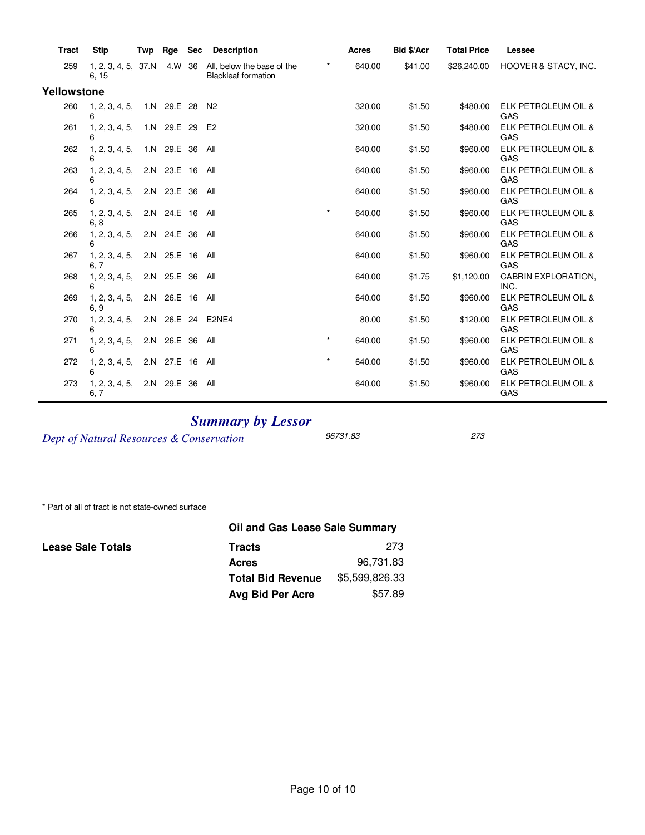| <b>Tract</b> | <b>Stip</b>                   | Twp | Rge             | <b>Sec</b> | <b>Description</b>                                       |         | <b>Acres</b> | Bid \$/Acr | <b>Total Price</b> | Lessee                      |
|--------------|-------------------------------|-----|-----------------|------------|----------------------------------------------------------|---------|--------------|------------|--------------------|-----------------------------|
| 259          | 1, 2, 3, 4, 5, 37. N<br>6, 15 |     | 4.W             | 36         | All, below the base of the<br><b>Blackleaf formation</b> | $\star$ | 640.00       | \$41.00    | \$26,240.00        | HOOVER & STACY, INC.        |
| Yellowstone  |                               |     |                 |            |                                                          |         |              |            |                    |                             |
| 260          | 1, 2, 3, 4, 5,<br>6           |     | 1.N 29.E 28 N2  |            |                                                          |         | 320.00       | \$1.50     | \$480.00           | ELK PETROLEUM OIL &<br>GAS  |
| 261          | 1, 2, 3, 4, 5,<br>6           |     | 1.N 29.E 29 E2  |            |                                                          |         | 320.00       | \$1.50     | \$480.00           | ELK PETROLEUM OIL &<br>GAS  |
| 262          | 1, 2, 3, 4, 5,<br>6           |     | 1.N 29.E 36     |            | All                                                      |         | 640.00       | \$1.50     | \$960.00           | ELK PETROLEUM OIL &<br>GAS  |
| 263          | 1, 2, 3, 4, 5,<br>6           |     | 2.N 23.E 16     |            | All                                                      |         | 640.00       | \$1.50     | \$960.00           | ELK PETROLEUM OIL &<br>GAS  |
| 264          | 1, 2, 3, 4, 5,                |     | 2.N 23.E 36 All |            |                                                          |         | 640.00       | \$1.50     | \$960.00           | ELK PETROLEUM OIL &<br>GAS  |
| 265          | 1, 2, 3, 4, 5,<br>6, 8        |     | 2.N 24.E 16 All |            |                                                          | $\star$ | 640.00       | \$1.50     | \$960.00           | ELK PETROLEUM OIL &<br>GAS  |
| 266          | 1, 2, 3, 4, 5,<br>6           |     | 2.N 24.E 36     |            | All                                                      |         | 640.00       | \$1.50     | \$960.00           | ELK PETROLEUM OIL &<br>GAS  |
| 267          | 1, 2, 3, 4, 5,<br>6, 7        |     | 2.N 25.E 16     |            | All                                                      |         | 640.00       | \$1.50     | \$960.00           | ELK PETROLEUM OIL &<br>GAS  |
| 268          | 1, 2, 3, 4, 5,<br>6           |     | 2.N 25.E 36 All |            |                                                          |         | 640.00       | \$1.75     | \$1,120.00         | CABRIN EXPLORATION,<br>INC. |
| 269          | 1, 2, 3, 4, 5,<br>6.9         |     | 2.N 26.E 16 All |            |                                                          |         | 640.00       | \$1.50     | \$960.00           | ELK PETROLEUM OIL &<br>GAS  |
| 270          | 1, 2, 3, 4, 5,<br>6           |     |                 |            | 2.N 26.E 24 E2NE4                                        |         | 80.00        | \$1.50     | \$120.00           | ELK PETROLEUM OIL &<br>GAS  |
| 271          | 1, 2, 3, 4, 5,<br>6           |     | 2.N 26.E 36 All |            |                                                          | $\star$ | 640.00       | \$1.50     | \$960.00           | ELK PETROLEUM OIL &<br>GAS  |
| 272          | 1, 2, 3, 4, 5,<br>6           |     | 2.N 27.E 16     |            | All                                                      | $\star$ | 640.00       | \$1.50     | \$960.00           | ELK PETROLEUM OIL &<br>GAS  |
| 273          | 1, 2, 3, 4, 5,<br>6.7         |     | 2.N 29.E 36     |            | All                                                      |         | 640.00       | \$1.50     | \$960.00           | ELK PETROLEUM OIL &<br>GAS  |

## **Summary by Lessor**

Dept of Natural Resources & Conservation 96731.83 273

\* Part of all of tract is not state-owned surface

|                          | Oil and Gas Lease Sale Summary |                |  |  |  |  |  |  |
|--------------------------|--------------------------------|----------------|--|--|--|--|--|--|
| <b>Lease Sale Totals</b> | <b>Tracts</b>                  | 273            |  |  |  |  |  |  |
|                          | <b>Acres</b>                   | 96,731.83      |  |  |  |  |  |  |
|                          | <b>Total Bid Revenue</b>       | \$5,599,826.33 |  |  |  |  |  |  |
|                          | Avg Bid Per Acre               | \$57.89        |  |  |  |  |  |  |
|                          |                                |                |  |  |  |  |  |  |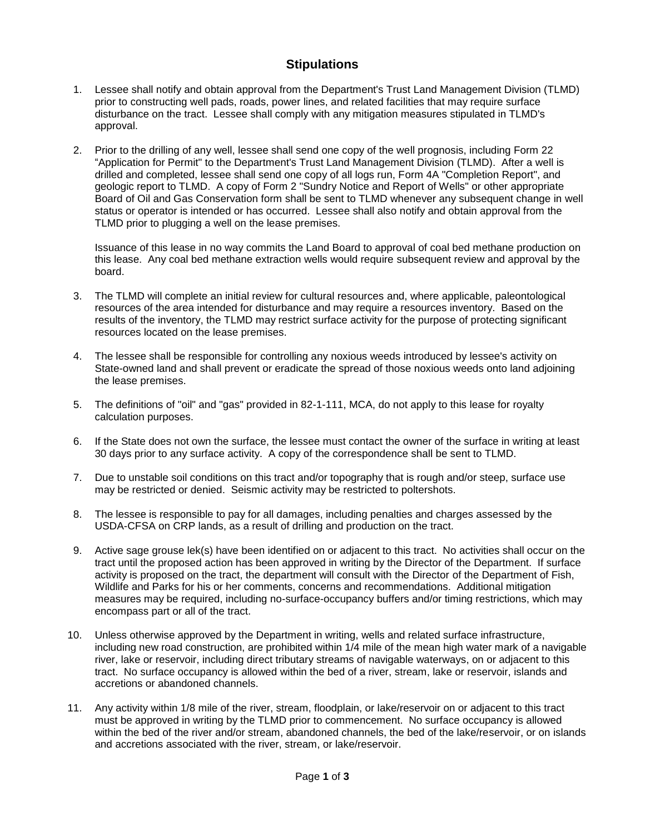## **Stipulations**

- 1. Lessee shall notify and obtain approval from the Department's Trust Land Management Division (TLMD) prior to constructing well pads, roads, power lines, and related facilities that may require surface disturbance on the tract. Lessee shall comply with any mitigation measures stipulated in TLMD's approval.
- 2. Prior to the drilling of any well, lessee shall send one copy of the well prognosis, including Form 22 "Application for Permit" to the Department's Trust Land Management Division (TLMD). After a well is drilled and completed, lessee shall send one copy of all logs run, Form 4A "Completion Report", and geologic report to TLMD. A copy of Form 2 "Sundry Notice and Report of Wells" or other appropriate Board of Oil and Gas Conservation form shall be sent to TLMD whenever any subsequent change in well status or operator is intended or has occurred. Lessee shall also notify and obtain approval from the TLMD prior to plugging a well on the lease premises.

Issuance of this lease in no way commits the Land Board to approval of coal bed methane production on this lease. Any coal bed methane extraction wells would require subsequent review and approval by the board.

- 3. The TLMD will complete an initial review for cultural resources and, where applicable, paleontological resources of the area intended for disturbance and may require a resources inventory. Based on the results of the inventory, the TLMD may restrict surface activity for the purpose of protecting significant resources located on the lease premises.
- 4. The lessee shall be responsible for controlling any noxious weeds introduced by lessee's activity on State-owned land and shall prevent or eradicate the spread of those noxious weeds onto land adjoining the lease premises.
- 5. The definitions of "oil" and "gas" provided in 82-1-111, MCA, do not apply to this lease for royalty calculation purposes.
- 6. If the State does not own the surface, the lessee must contact the owner of the surface in writing at least 30 days prior to any surface activity. A copy of the correspondence shall be sent to TLMD.
- 7. Due to unstable soil conditions on this tract and/or topography that is rough and/or steep, surface use may be restricted or denied. Seismic activity may be restricted to poltershots.
- 8. The lessee is responsible to pay for all damages, including penalties and charges assessed by the USDA-CFSA on CRP lands, as a result of drilling and production on the tract.
- 9. Active sage grouse lek(s) have been identified on or adjacent to this tract. No activities shall occur on the tract until the proposed action has been approved in writing by the Director of the Department. If surface activity is proposed on the tract, the department will consult with the Director of the Department of Fish, Wildlife and Parks for his or her comments, concerns and recommendations. Additional mitigation measures may be required, including no-surface-occupancy buffers and/or timing restrictions, which may encompass part or all of the tract.
- 10. Unless otherwise approved by the Department in writing, wells and related surface infrastructure, including new road construction, are prohibited within 1/4 mile of the mean high water mark of a navigable river, lake or reservoir, including direct tributary streams of navigable waterways, on or adjacent to this tract. No surface occupancy is allowed within the bed of a river, stream, lake or reservoir, islands and accretions or abandoned channels.
- 11. Any activity within 1/8 mile of the river, stream, floodplain, or lake/reservoir on or adjacent to this tract must be approved in writing by the TLMD prior to commencement. No surface occupancy is allowed within the bed of the river and/or stream, abandoned channels, the bed of the lake/reservoir, or on islands and accretions associated with the river, stream, or lake/reservoir.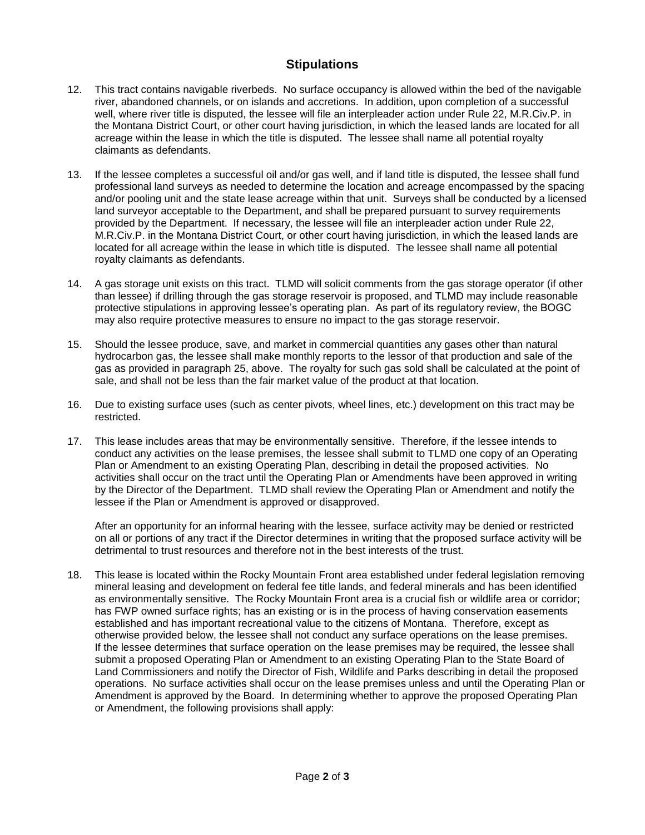## **Stipulations**

- This tract contains navigable riverbeds. No surface occupancy is allowed within the bed of the navigable  $12<sub>1</sub>$ river, abandoned channels, or on islands and accretions. In addition, upon completion of a successful well, where river title is disputed, the lessee will file an interpleader action under Rule 22, M.R.Civ.P. in the Montana District Court, or other court having jurisdiction, in which the leased lands are located for all acreage within the lease in which the title is disputed. The lessee shall name all potential royalty claimants as defendants.
- 13. If the lessee completes a successful oil and/or gas well, and if land title is disputed, the lessee shall fund professional land surveys as needed to determine the location and acreage encompassed by the spacing and/or pooling unit and the state lease acreage within that unit. Surveys shall be conducted by a licensed land surveyor acceptable to the Department, and shall be prepared pursuant to survey requirements provided by the Department. If necessary, the lessee will file an interpleader action under Rule 22, M.R.Civ.P. in the Montana District Court, or other court having jurisdiction, in which the leased lands are located for all acreage within the lease in which title is disputed. The lessee shall name all potential royalty claimants as defendants.
- 14. A gas storage unit exists on this tract. TLMD will solicit comments from the gas storage operator (if other than lessee) if drilling through the gas storage reservoir is proposed, and TLMD may include reasonable protective stipulations in approving lessee's operating plan. As part of its regulatory review, the BOGC may also require protective measures to ensure no impact to the gas storage reservoir.
- Should the lessee produce, save, and market in commercial quantities any gases other than natural  $15.$ hydrocarbon gas, the lessee shall make monthly reports to the lessor of that production and sale of the gas as provided in paragraph 25, above. The royalty for such gas sold shall be calculated at the point of sale, and shall not be less than the fair market value of the product at that location.
- 16. Due to existing surface uses (such as center pivots, wheel lines, etc.) development on this tract may be restricted.
- 17. This lease includes areas that may be environmentally sensitive. Therefore, if the lessee intends to conduct any activities on the lease premises, the lessee shall submit to TLMD one copy of an Operating Plan or Amendment to an existing Operating Plan, describing in detail the proposed activities. No activities shall occur on the tract until the Operating Plan or Amendments have been approved in writing by the Director of the Department. TLMD shall review the Operating Plan or Amendment and notify the lessee if the Plan or Amendment is approved or disapproved.

After an opportunity for an informal hearing with the lessee, surface activity may be denied or restricted on all or portions of any tract if the Director determines in writing that the proposed surface activity will be detrimental to trust resources and therefore not in the best interests of the trust.

18. This lease is located within the Rocky Mountain Front area established under federal legislation removing mineral leasing and development on federal fee title lands, and federal minerals and has been identified as environmentally sensitive. The Rocky Mountain Front area is a crucial fish or wildlife area or corridor: has FWP owned surface rights; has an existing or is in the process of having conservation easements established and has important recreational value to the citizens of Montana. Therefore, except as otherwise provided below, the lessee shall not conduct any surface operations on the lease premises. If the lessee determines that surface operation on the lease premises may be required, the lessee shall submit a proposed Operating Plan or Amendment to an existing Operating Plan to the State Board of Land Commissioners and notify the Director of Fish, Wildlife and Parks describing in detail the proposed operations. No surface activities shall occur on the lease premises unless and until the Operating Plan or Amendment is approved by the Board. In determining whether to approve the proposed Operating Plan or Amendment, the following provisions shall apply: